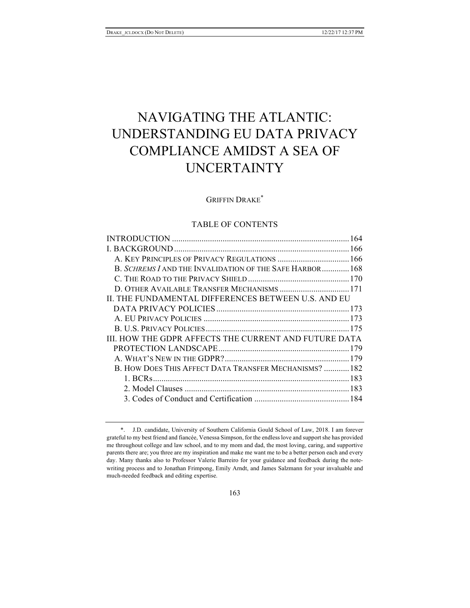# NAVIGATING THE ATLANTIC: UNDERSTANDING EU DATA PRIVACY COMPLIANCE AMIDST A SEA OF UNCERTAINTY

# GRIFFIN DRAKE\*

# TABLE OF CONTENTS

| A. KEY PRINCIPLES OF PRIVACY REGULATIONS  166            |  |
|----------------------------------------------------------|--|
| B. SCHREMS I AND THE INVALIDATION OF THE SAFE HARBOR 168 |  |
|                                                          |  |
| D. OTHER AVAILABLE TRANSFER MECHANISMS  171              |  |
| IL THE FUNDAMENTAL DIFFERENCES BETWEEN U.S. AND EU       |  |
|                                                          |  |
|                                                          |  |
|                                                          |  |
| III. HOW THE GDPR AFFECTS THE CURRENT AND FUTURE DATA    |  |
|                                                          |  |
|                                                          |  |
| B. HOW DOES THIS AFFECT DATA TRANSFER MECHANISMS?  182   |  |
|                                                          |  |
|                                                          |  |
|                                                          |  |
|                                                          |  |

<sup>\*.</sup> J.D. candidate, University of Southern California Gould School of Law, 2018. I am forever grateful to my best friend and fiancée, Venessa Simpson, for the endless love and support she has provided me throughout college and law school, and to my mom and dad, the most loving, caring, and supportive parents there are; you three are my inspiration and make me want me to be a better person each and every day. Many thanks also to Professor Valerie Barreiro for your guidance and feedback during the notewriting process and to Jonathan Frimpong, Emily Arndt, and James Salzmann for your invaluable and much-needed feedback and editing expertise.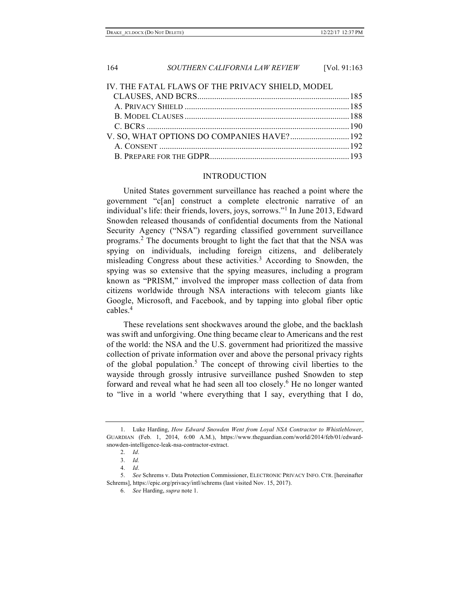| IV. THE FATAL FLAWS OF THE PRIVACY SHIELD, MODEL |  |
|--------------------------------------------------|--|
|                                                  |  |
|                                                  |  |
|                                                  |  |
|                                                  |  |
|                                                  |  |
|                                                  |  |
|                                                  |  |

#### INTRODUCTION

United States government surveillance has reached a point where the government "c[an] construct a complete electronic narrative of an individual's life: their friends, lovers, joys, sorrows."<sup>1</sup> In June 2013, Edward Snowden released thousands of confidential documents from the National Security Agency ("NSA") regarding classified government surveillance programs.<sup>2</sup> The documents brought to light the fact that that the NSA was spying on individuals, including foreign citizens, and deliberately misleading Congress about these activities.<sup>3</sup> According to Snowden, the spying was so extensive that the spying measures, including a program known as "PRISM," involved the improper mass collection of data from citizens worldwide through NSA interactions with telecom giants like Google, Microsoft, and Facebook, and by tapping into global fiber optic cables.<sup>4</sup>

These revelations sent shockwaves around the globe, and the backlash was swift and unforgiving. One thing became clear to Americans and the rest of the world: the NSA and the U.S. government had prioritized the massive collection of private information over and above the personal privacy rights of the global population.<sup>5</sup> The concept of throwing civil liberties to the wayside through grossly intrusive surveillance pushed Snowden to step forward and reveal what he had seen all too closely.<sup>6</sup> He no longer wanted to "live in a world 'where everything that I say, everything that I do,

<sup>1.</sup> Luke Harding, *How Edward Snowden Went from Loyal NSA Contractor to Whistleblower*, GUARDIAN (Feb. 1, 2014, 6:00 A.M.), https://www.theguardian.com/world/2014/feb/01/edwardsnowden-intelligence-leak-nsa-contractor-extract.

<sup>2.</sup> *Id*.

<sup>3.</sup> *Id.*

<sup>4.</sup> *Id*.

<sup>5.</sup> *See* Schrems v. Data Protection Commissioner, ELECTRONIC PRIVACY INFO. CTR. [hereinafter Schrems], https://epic.org/privacy/intl/schrems (last visited Nov. 15, 2017).

<sup>6.</sup> *See* Harding, *supra* note 1.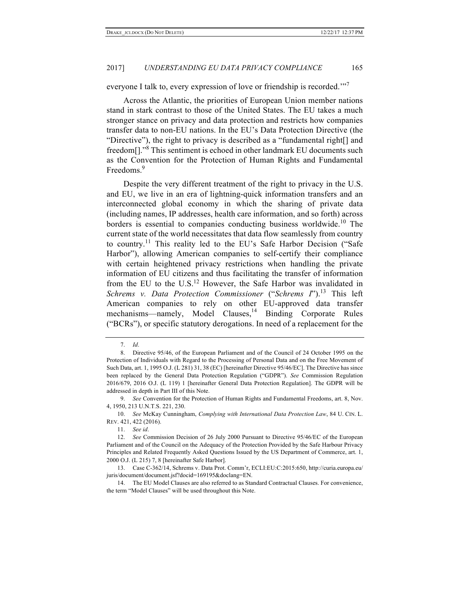everyone I talk to, every expression of love or friendship is recorded.'"<sup>7</sup>

Across the Atlantic, the priorities of European Union member nations stand in stark contrast to those of the United States. The EU takes a much stronger stance on privacy and data protection and restricts how companies transfer data to non-EU nations. In the EU's Data Protection Directive (the "Directive"), the right to privacy is described as a "fundamental right[] and freedom[]."<sup>8</sup> This sentiment is echoed in other landmark EU documents such as the Convention for the Protection of Human Rights and Fundamental Freedoms.<sup>9</sup>

Despite the very different treatment of the right to privacy in the U.S. and EU, we live in an era of lightning-quick information transfers and an interconnected global economy in which the sharing of private data (including names, IP addresses, health care information, and so forth) across borders is essential to companies conducting business worldwide.<sup>10</sup> The current state of the world necessitates that data flow seamlessly from country to country.<sup>11</sup> This reality led to the EU's Safe Harbor Decision ("Safe" Harbor"), allowing American companies to self-certify their compliance with certain heightened privacy restrictions when handling the private information of EU citizens and thus facilitating the transfer of information from the EU to the U.S.<sup>12</sup> However, the Safe Harbor was invalidated in *Schrems v. Data Protection Commissioner* ("*Schrems I*").<sup>13</sup> This left American companies to rely on other EU-approved data transfer mechanisms—namely, Model Clauses, $14$  Binding Corporate Rules ("BCRs"), or specific statutory derogations. In need of a replacement for the

<sup>7.</sup> *Id*.

<sup>8.</sup> Directive 95/46, of the European Parliament and of the Council of 24 October 1995 on the Protection of Individuals with Regard to the Processing of Personal Data and on the Free Movement of Such Data, art. 1, 1995 O.J. (L 281) 31, 38 (EC) [hereinafter Directive 95/46/EC]. The Directive has since been replaced by the General Data Protection Regulation ("GDPR"). *See* Commission Regulation 2016/679, 2016 O.J. (L 119) 1 [hereinafter General Data Protection Regulation]. The GDPR will be addressed in depth in Part III of this Note.

<sup>9.</sup> *See* Convention for the Protection of Human Rights and Fundamental Freedoms, art. 8, Nov. 4, 1950, 213 U.N.T.S. 221, 230.

<sup>10.</sup> *See* McKay Cunningham, *Complying with International Data Protection Law*, 84 U. CIN. L. REV. 421, 422 (2016).

<sup>11.</sup> *See id*.

<sup>12.</sup> *See* Commission Decision of 26 July 2000 Pursuant to Directive 95/46/EC of the European Parliament and of the Council on the Adequacy of the Protection Provided by the Safe Harbour Privacy Principles and Related Frequently Asked Questions Issued by the US Department of Commerce, art. 1, 2000 O.J. (L 215) 7, 8 [hereinafter Safe Harbor].

<sup>13.</sup> Case C-362/14, Schrems v. Data Prot. Comm'r, ECLI:EU:C:2015:650, http://curia.europa.eu/ juris/document/document.jsf?docid=169195&doclang=EN.

<sup>14.</sup> The EU Model Clauses are also referred to as Standard Contractual Clauses. For convenience, the term "Model Clauses" will be used throughout this Note.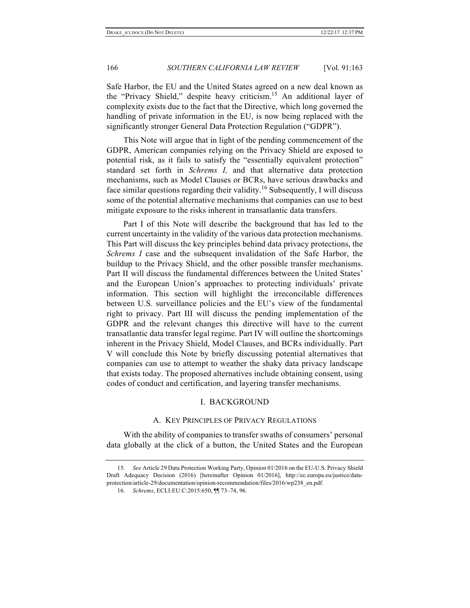Safe Harbor, the EU and the United States agreed on a new deal known as the "Privacy Shield," despite heavy criticism.<sup>15</sup> An additional layer of complexity exists due to the fact that the Directive, which long governed the handling of private information in the EU, is now being replaced with the significantly stronger General Data Protection Regulation ("GDPR").

This Note will argue that in light of the pending commencement of the GDPR, American companies relying on the Privacy Shield are exposed to potential risk, as it fails to satisfy the "essentially equivalent protection" standard set forth in *Schrems I,* and that alternative data protection mechanisms, such as Model Clauses or BCRs, have serious drawbacks and face similar questions regarding their validity. <sup>16</sup> Subsequently, I will discuss some of the potential alternative mechanisms that companies can use to best mitigate exposure to the risks inherent in transatlantic data transfers.

Part I of this Note will describe the background that has led to the current uncertainty in the validity of the various data protection mechanisms. This Part will discuss the key principles behind data privacy protections, the *Schrems I* case and the subsequent invalidation of the Safe Harbor, the buildup to the Privacy Shield, and the other possible transfer mechanisms. Part II will discuss the fundamental differences between the United States' and the European Union's approaches to protecting individuals' private information. This section will highlight the irreconcilable differences between U.S. surveillance policies and the EU's view of the fundamental right to privacy. Part III will discuss the pending implementation of the GDPR and the relevant changes this directive will have to the current transatlantic data transfer legal regime. Part IV will outline the shortcomings inherent in the Privacy Shield, Model Clauses, and BCRs individually. Part V will conclude this Note by briefly discussing potential alternatives that companies can use to attempt to weather the shaky data privacy landscape that exists today. The proposed alternatives include obtaining consent, using codes of conduct and certification, and layering transfer mechanisms.

#### I. BACKGROUND

#### A. KEY PRINCIPLES OF PRIVACY REGULATIONS

With the ability of companies to transfer swaths of consumers' personal data globally at the click of a button, the United States and the European

16. *Schrems*, ECLI:EU:C:2015:650, ¶¶ 73–74, 96.

<sup>15.</sup> *See* Article 29 Data Protection Working Party, Opinion 01/2016 on the EU-U.S. Privacy Shield Draft Adequacy Decision (2016) [hereinafter Opinion 01/2016], http://ec.europa.eu/justice/dataprotection/article-29/documentation/opinion-recommendation/files/2016/wp238\_en.pdf.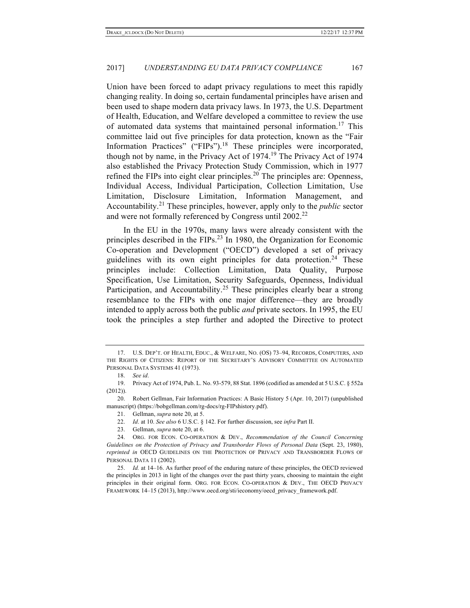Union have been forced to adapt privacy regulations to meet this rapidly changing reality. In doing so, certain fundamental principles have arisen and been used to shape modern data privacy laws. In 1973, the U.S. Department of Health, Education, and Welfare developed a committee to review the use of automated data systems that maintained personal information.<sup>17</sup> This committee laid out five principles for data protection, known as the "Fair Information Practices" ("FIPs"). <sup>18</sup> These principles were incorporated, though not by name, in the Privacy Act of  $1974$ .<sup>19</sup> The Privacy Act of 1974 also established the Privacy Protection Study Commission, which in 1977 refined the FIPs into eight clear principles. <sup>20</sup> The principles are: Openness, Individual Access, Individual Participation, Collection Limitation, Use Limitation, Disclosure Limitation, Information Management, and Accountability. <sup>21</sup> These principles, however, apply only to the *public* sector and were not formally referenced by Congress until 2002.<sup>22</sup>

In the EU in the 1970s, many laws were already consistent with the principles described in the FIPs.<sup>23</sup> In 1980, the Organization for Economic Co-operation and Development ("OECD") developed a set of privacy guidelines with its own eight principles for data protection.<sup>24</sup> These principles include: Collection Limitation, Data Quality, Purpose Specification, Use Limitation, Security Safeguards, Openness, Individual Participation, and Accountability.<sup>25</sup> These principles clearly bear a strong resemblance to the FIPs with one major difference—they are broadly intended to apply across both the public *and* private sectors. In 1995, the EU took the principles a step further and adopted the Directive to protect

<sup>17.</sup> U.S. DEP'T. OF HEALTH, EDUC., & WELFARE, NO. (OS) 73–94, RECORDS, COMPUTERS, AND THE RIGHTS OF CITIZENS: REPORT OF THE SECRETARY'S ADVISORY COMMITTEE ON AUTOMATED PERSONAL DATA SYSTEMS 41 (1973).

<sup>18.</sup> *See id*.

<sup>19.</sup> Privacy Act of 1974, Pub. L. No. 93-579, 88 Stat. 1896 (codified as amended at 5 U.S.C. § 552a (2012)).

<sup>20.</sup> Robert Gellman, Fair Information Practices: A Basic History 5 (Apr. 10, 2017) (unpublished manuscript) (https://bobgellman.com/rg-docs/rg-FIPshistory.pdf).

<sup>21.</sup> Gellman, *supra* note 20, at 5.

<sup>22.</sup> *Id*. at 10. *See also* 6 U.S.C. § 142. For further discussion, see *infra* Part II.

<sup>23.</sup> Gellman, *supra* note 20, at 6.

<sup>24.</sup> ORG. FOR ECON. CO-OPERATION & DEV., *Recommendation of the Council Concerning Guidelines on the Protection of Privacy and Transborder Flows of Personal Data* (Sept. 23, 1980), *reprinted in* OECD GUIDELINES ON THE PROTECTION OF PRIVACY AND TRANSBORDER FLOWS OF PERSONAL DATA 11 (2002).

<sup>25.</sup> *Id.* at 14–16. As further proof of the enduring nature of these principles, the OECD reviewed the principles in 2013 in light of the changes over the past thirty years, choosing to maintain the eight principles in their original form. ORG. FOR ECON. CO-OPERATION & DEV., THE OECD PRIVACY FRAMEWORK 14–15 (2013), http://www.oecd.org/sti/ieconomy/oecd\_privacy\_framework.pdf.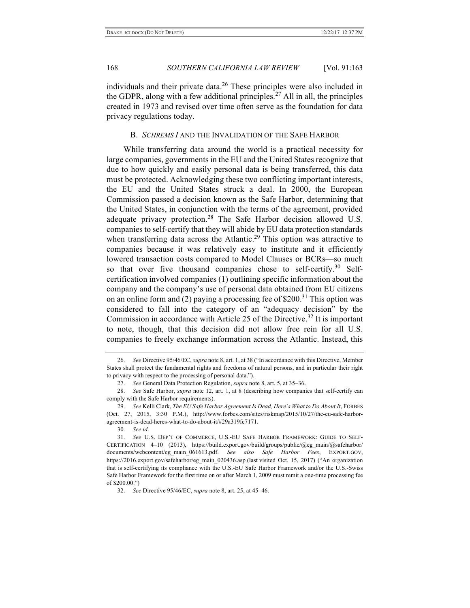individuals and their private data. <sup>26</sup> These principles were also included in the GDPR, along with a few additional principles.<sup>27</sup> All in all, the principles created in 1973 and revised over time often serve as the foundation for data privacy regulations today.

#### B. *SCHREMS I* AND THE INVALIDATION OF THE SAFE HARBOR

While transferring data around the world is a practical necessity for large companies, governments in the EU and the United States recognize that due to how quickly and easily personal data is being transferred, this data must be protected. Acknowledging these two conflicting important interests, the EU and the United States struck a deal. In 2000, the European Commission passed a decision known as the Safe Harbor, determining that the United States, in conjunction with the terms of the agreement, provided adequate privacy protection.<sup>28</sup> The Safe Harbor decision allowed U.S. companies to self-certify that they will abide by EU data protection standards when transferring data across the Atlantic.<sup>29</sup> This option was attractive to companies because it was relatively easy to institute and it efficiently lowered transaction costs compared to Model Clauses or BCRs—so much so that over five thousand companies chose to self-certify.<sup>30</sup> Selfcertification involved companies (1) outlining specific information about the company and the company's use of personal data obtained from EU citizens on an online form and (2) paying a processing fee of \$200.<sup>31</sup> This option was considered to fall into the category of an "adequacy decision" by the Commission in accordance with Article 25 of the Directive.<sup>32</sup> It is important to note, though, that this decision did not allow free rein for all U.S. companies to freely exchange information across the Atlantic. Instead, this

30. *See id*.

<sup>26.</sup> *See* Directive 95/46/EC, *supra* note 8, art. 1, at 38 ("In accordance with this Directive, Member States shall protect the fundamental rights and freedoms of natural persons, and in particular their right to privacy with respect to the processing of personal data.").

<sup>27.</sup> *See* General Data Protection Regulation, *supra* note 8, art. 5, at 35–36.

<sup>28.</sup> *See* Safe Harbor, *supra* note 12, art. 1, at 8 (describing how companies that self-certify can comply with the Safe Harbor requirements).

<sup>29.</sup> *See* Kelli Clark, *The EU Safe Harbor Agreement Is Dead, Here's What to Do About It*, FORBES (Oct. 27, 2015, 3:30 P.M.), http://www.forbes.com/sites/riskmap/2015/10/27/the-eu-safe-harboragreement-is-dead-heres-what-to-do-about-it/#29a319fc7171.

<sup>31.</sup> *See* U.S. DEP'T OF COMMERCE, U.S.-EU SAFE HARBOR FRAMEWORK: GUIDE TO SELF-CERTIFICATION 4–10 (2013), https://build.export.gov/build/groups/public/@eg\_main/@safeharbor/ documents/webcontent/eg\_main\_061613.pdf. *See also Safe Harbor Fees*, EXPORT.GOV, https://2016.export.gov/safeharbor/eg\_main\_020436.asp (last visited Oct. 15, 2017) ("An organization that is self-certifying its compliance with the U.S.-EU Safe Harbor Framework and/or the U.S.-Swiss Safe Harbor Framework for the first time on or after March 1, 2009 must remit a one-time processing fee of \$200.00.")

<sup>32.</sup> *See* Directive 95/46/EC, *supra* note 8, art. 25, at 45–46.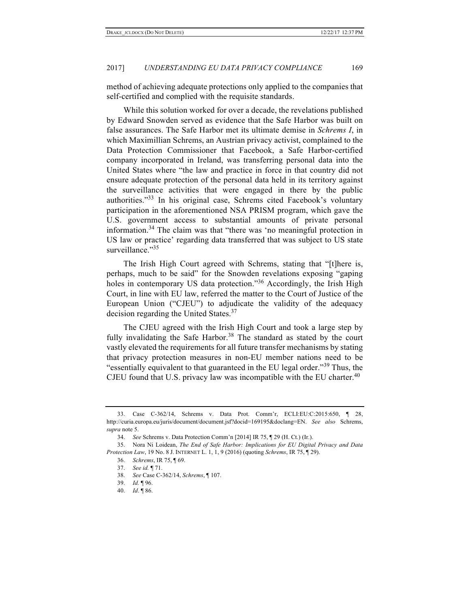method of achieving adequate protections only applied to the companies that self-certified and complied with the requisite standards.

While this solution worked for over a decade, the revelations published by Edward Snowden served as evidence that the Safe Harbor was built on false assurances. The Safe Harbor met its ultimate demise in *Schrems I*, in which Maximillian Schrems, an Austrian privacy activist, complained to the Data Protection Commissioner that Facebook, a Safe Harbor-certified company incorporated in Ireland, was transferring personal data into the United States where "the law and practice in force in that country did not ensure adequate protection of the personal data held in its territory against the surveillance activities that were engaged in there by the public authorities."<sup>33</sup> In his original case, Schrems cited Facebook's voluntary participation in the aforementioned NSA PRISM program, which gave the U.S. government access to substantial amounts of private personal information.<sup>34</sup> The claim was that "there was 'no meaningful protection in US law or practice' regarding data transferred that was subject to US state surveillance."35

The Irish High Court agreed with Schrems, stating that "[t]here is, perhaps, much to be said" for the Snowden revelations exposing "gaping holes in contemporary US data protection."<sup>36</sup> Accordingly, the Irish High Court, in line with EU law, referred the matter to the Court of Justice of the European Union ("CJEU") to adjudicate the validity of the adequacy decision regarding the United States.<sup>37</sup>

The CJEU agreed with the Irish High Court and took a large step by fully invalidating the Safe Harbor.<sup>38</sup> The standard as stated by the court vastly elevated the requirements for all future transfer mechanisms by stating that privacy protection measures in non-EU member nations need to be "essentially equivalent to that guaranteed in the EU legal order."<sup>39</sup> Thus, the CJEU found that U.S. privacy law was incompatible with the EU charter.<sup>40</sup>

<sup>33.</sup> Case C-362/14, Schrems v. Data Prot. Comm'r, ECLI:EU:C:2015:650, ¶ 28, http://curia.europa.eu/juris/document/document.jsf?docid=169195&doclang=EN. *See also* Schrems, *supra* note 5.

<sup>34.</sup> *See* Schrems v. Data Protection Comm'n [2014] IR 75, ¶ 29 (H. Ct.) (Ir.).

<sup>35.</sup> Nora Ni Loidean, *The End of Safe Harbor: Implications for EU Digital Privacy and Data Protection Law*, 19 No. 8 J. INTERNET L. 1, 1, 9 (2016) (quoting *Schrems*, IR 75, ¶ 29).

<sup>36.</sup> *Schrems*, IR 75, ¶ 69.

<sup>37.</sup> *See id.* ¶ 71.

<sup>38.</sup> *See* Case C-362/14, *Schrems*, ¶ 107.

<sup>39.</sup> *Id.* ¶ 96.

<sup>40.</sup> *Id*. ¶ 86.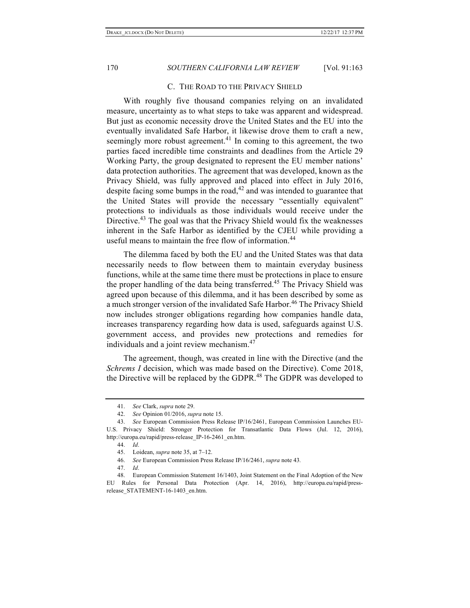#### C. THE ROAD TO THE PRIVACY SHIELD

With roughly five thousand companies relying on an invalidated measure, uncertainty as to what steps to take was apparent and widespread. But just as economic necessity drove the United States and the EU into the eventually invalidated Safe Harbor, it likewise drove them to craft a new, seemingly more robust agreement.<sup>41</sup> In coming to this agreement, the two parties faced incredible time constraints and deadlines from the Article 29 Working Party, the group designated to represent the EU member nations' data protection authorities. The agreement that was developed, known as the Privacy Shield, was fully approved and placed into effect in July 2016, despite facing some bumps in the road, $42$  and was intended to guarantee that the United States will provide the necessary "essentially equivalent" protections to individuals as those individuals would receive under the Directive.<sup>43</sup> The goal was that the Privacy Shield would fix the weaknesses inherent in the Safe Harbor as identified by the CJEU while providing a useful means to maintain the free flow of information.<sup>44</sup>

The dilemma faced by both the EU and the United States was that data necessarily needs to flow between them to maintain everyday business functions, while at the same time there must be protections in place to ensure the proper handling of the data being transferred. <sup>45</sup> The Privacy Shield was agreed upon because of this dilemma, and it has been described by some as a much stronger version of the invalidated Safe Harbor.<sup>46</sup> The Privacy Shield now includes stronger obligations regarding how companies handle data, increases transparency regarding how data is used, safeguards against U.S. government access, and provides new protections and remedies for individuals and a joint review mechanism.<sup>47</sup>

The agreement, though, was created in line with the Directive (and the *Schrems I* decision, which was made based on the Directive). Come 2018, the Directive will be replaced by the GDPR.<sup>48</sup> The GDPR was developed to

44. *Id*.

<sup>41.</sup> *See* Clark, *supra* note 29.

<sup>42.</sup> *See* Opinion 01/2016, *supra* note 15.

<sup>43.</sup> *See* European Commission Press Release IP/16/2461, European Commission Launches EU-U.S. Privacy Shield: Stronger Protection for Transatlantic Data Flows (Jul. 12, 2016), http://europa.eu/rapid/press-release\_IP-16-2461\_en.htm.

<sup>45.</sup> Loidean, *supra* note 35, at 7–12.

<sup>46.</sup> *See* European Commission Press Release IP/16/2461, *supra* note 43*.*

<sup>47.</sup> *Id*.

<sup>48.</sup> European Commission Statement 16/1403, Joint Statement on the Final Adoption of the New EU Rules for Personal Data Protection (Apr. 14, 2016), http://europa.eu/rapid/pressrelease\_STATEMENT-16-1403\_en.htm.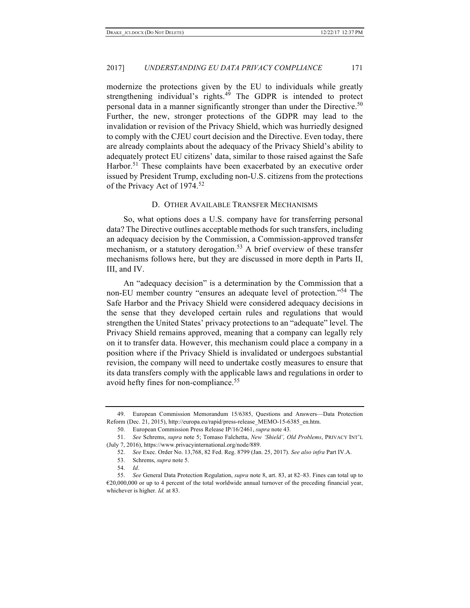modernize the protections given by the EU to individuals while greatly strengthening individual's rights.<sup>49</sup> The GDPR is intended to protect personal data in a manner significantly stronger than under the Directive.<sup>50</sup> Further, the new, stronger protections of the GDPR may lead to the invalidation or revision of the Privacy Shield, which was hurriedly designed to comply with the CJEU court decision and the Directive. Even today, there are already complaints about the adequacy of the Privacy Shield's ability to adequately protect EU citizens' data, similar to those raised against the Safe Harbor.<sup>51</sup> These complaints have been exacerbated by an executive order issued by President Trump, excluding non-U.S. citizens from the protections of the Privacy Act of 1974.<sup>52</sup>

#### D. OTHER AVAILABLE TRANSFER MECHANISMS

So, what options does a U.S. company have for transferring personal data? The Directive outlines acceptable methods for such transfers, including an adequacy decision by the Commission, a Commission-approved transfer mechanism, or a statutory derogation.<sup>53</sup> A brief overview of these transfer mechanisms follows here, but they are discussed in more depth in Parts II, III, and IV.

An "adequacy decision" is a determination by the Commission that a non-EU member country "ensures an adequate level of protection."<sup>54</sup> The Safe Harbor and the Privacy Shield were considered adequacy decisions in the sense that they developed certain rules and regulations that would strengthen the United States' privacy protections to an "adequate" level. The Privacy Shield remains approved, meaning that a company can legally rely on it to transfer data. However, this mechanism could place a company in a position where if the Privacy Shield is invalidated or undergoes substantial revision, the company will need to undertake costly measures to ensure that its data transfers comply with the applicable laws and regulations in order to avoid hefty fines for non-compliance.<sup>55</sup>

<sup>49.</sup> European Commission Memorandum 15/6385, Questions and Answers—Data Protection Reform (Dec. 21, 2015), http://europa.eu/rapid/press-release\_MEMO-15-6385\_en.htm.

<sup>50.</sup> European Commission Press Release IP/16/2461, *supra* note 43*.*

<sup>51.</sup> *See* Schrems, *supra* note 5; Tomaso Falchetta, *New 'Shield', Old Problems*, PRIVACY INT'L (July 7, 2016), https://www.privacyinternational.org/node/889.

<sup>52.</sup> *See* Exec. Order No. 13,768, 82 Fed. Reg. 8799 (Jan. 25, 2017). *See also infra* Part IV.A.

<sup>53.</sup> Schrems, *supra* note 5.

<sup>54.</sup> *Id*.

<sup>55.</sup> *See* General Data Protection Regulation, *supra* note 8, art. 83, at 82–83. Fines can total up to €20,000,000 or up to 4 percent of the total worldwide annual turnover of the preceding financial year, whichever is higher. *Id.* at 83.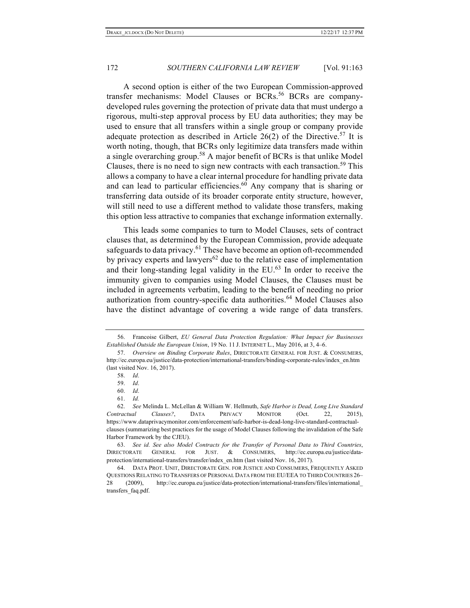A second option is either of the two European Commission-approved transfer mechanisms: Model Clauses or BCRs.<sup>56</sup> BCRs are companydeveloped rules governing the protection of private data that must undergo a rigorous, multi-step approval process by EU data authorities; they may be used to ensure that all transfers within a single group or company provide adequate protection as described in Article  $26(2)$  of the Directive.<sup>57</sup> It is worth noting, though, that BCRs only legitimize data transfers made within a single overarching group.<sup>58</sup> A major benefit of BCRs is that unlike Model Clauses, there is no need to sign new contracts with each transaction.<sup>59</sup> This allows a company to have a clear internal procedure for handling private data and can lead to particular efficiencies.<sup>60</sup> Any company that is sharing or transferring data outside of its broader corporate entity structure, however, will still need to use a different method to validate those transfers, making this option less attractive to companies that exchange information externally.

This leads some companies to turn to Model Clauses, sets of contract clauses that, as determined by the European Commission, provide adequate safeguards to data privacy.<sup>61</sup> These have become an option oft-recommended by privacy experts and lawyers<sup>62</sup> due to the relative ease of implementation and their long-standing legal validity in the EU. <sup>63</sup> In order to receive the immunity given to companies using Model Clauses, the Clauses must be included in agreements verbatim, leading to the benefit of needing no prior authorization from country-specific data authorities.<sup>64</sup> Model Clauses also have the distinct advantage of covering a wide range of data transfers.

<sup>56.</sup> Francoise Gilbert, *EU General Data Protection Regulation: What Impact for Businesses Established Outside the European Union*, 19 No. 11 J. INTERNET L., May 2016, at 3, 4–6.

<sup>57.</sup> *Overview on Binding Corporate Rules*, DIRECTORATE GENERAL FOR JUST. & CONSUMERS, http://ec.europa.eu/justice/data-protection/international-transfers/binding-corporate-rules/index\_en.htm (last visited Nov. 16, 2017).

<sup>58.</sup> *Id*.

<sup>59.</sup> *Id*.

<sup>60.</sup> *Id*.

<sup>61.</sup> *Id.*

<sup>62.</sup> *See* Melinda L. McLellan & William W. Hellmuth, *Safe Harbor is Dead, Long Live Standard Contractual Clauses?*, DATA PRIVACY MONITOR (Oct. 22, 2015), https://www.dataprivacymonitor.com/enforcement/safe-harbor-is-dead-long-live-standard-contractualclauses (summarizing best practices for the usage of Model Clauses following the invalidation of the Safe Harbor Framework by the CJEU).

<sup>63.</sup> *See id. See also Model Contracts for the Transfer of Personal Data to Third Countries*, DIRECTORATE GENERAL FOR JUST. & CONSUMERS, http://ec.europa.eu/justice/dataprotection/international-transfers/transfer/index\_en.htm (last visited Nov. 16, 2017).

<sup>64.</sup> DATA PROT. UNIT, DIRECTORATE GEN. FOR JUSTICE AND CONSUMERS, FREQUENTLY ASKED QUESTIONS RELATING TO TRANSFERS OF PERSONAL DATA FROM THE EU/EEA TO THIRD COUNTRIES 26– 28 (2009), http://ec.europa.eu/justice/data-protection/international-transfers/files/international\_ transfers\_faq.pdf.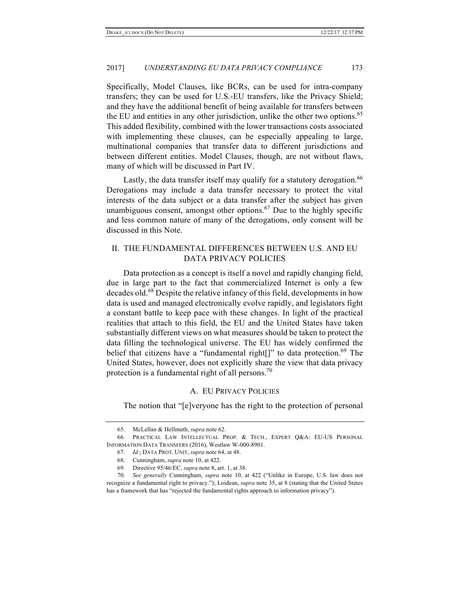Specifically, Model Clauses, like BCRs, can be used for intra-company transfers; they can be used for U.S.-EU transfers, like the Privacy Shield; and they have the additional benefit of being available for transfers between the EU and entities in any other jurisdiction, unlike the other two options.<sup>65</sup> This added flexibility, combined with the lower transactions costs associated with implementing these clauses, can be especially appealing to large, multinational companies that transfer data to different jurisdictions and between different entities. Model Clauses, though, are not without flaws, many of which will be discussed in Part IV.

Lastly, the data transfer itself may qualify for a statutory derogation.<sup>66</sup> Derogations may include a data transfer necessary to protect the vital interests of the data subject or a data transfer after the subject has given unambiguous consent, amongst other options. $67$  Due to the highly specific and less common nature of many of the derogations, only consent will be discussed in this Note.

# II. THE FUNDAMENTAL DIFFERENCES BETWEEN U.S. AND EU DATA PRIVACY POLICIES

Data protection as a concept is itself a novel and rapidly changing field, due in large part to the fact that commercialized Internet is only a few decades old.<sup>68</sup> Despite the relative infancy of this field, developments in how data is used and managed electronically evolve rapidly, and legislators fight a constant battle to keep pace with these changes. In light of the practical realities that attach to this field, the EU and the United States have taken substantially different views on what measures should be taken to protect the data filling the technological universe. The EU has widely confirmed the belief that citizens have a "fundamental right $[]$ " to data protection.<sup>69</sup> The United States, however, does not explicitly share the view that data privacy protection is a fundamental right of all persons.<sup>70</sup>

#### A. EU PRIVACY POLICIES

The notion that "[e]veryone has the right to the protection of personal

<sup>65.</sup> McLellan & Hellmuth, *supra* note 62.

<sup>66.</sup> PRACTICAL LAW INTELLECTUAL PROP. & TECH., EXPERT Q&A: EU-US PERSONAL INFORMATION DATA TRANSFERS (2016), Westlaw W-000-8901.

<sup>67.</sup> *Id.*; DATA PROT. UNIT, *supra* note 64, at 48.

<sup>68.</sup> Cunningham, *supra* note 10, at 422.

<sup>69.</sup> Directive 95/46/EC, *supra* note 8, art. 1, at 38.

<sup>70.</sup> *See generally* Cunningham, *supra* note 10, at 422 ("Unlike in Europe, U.S. law does not recognize a fundamental right to privacy."); Loidean, *supra* note 35, at 8 (stating that the United States has a framework that has "rejected the fundamental rights approach to information privacy").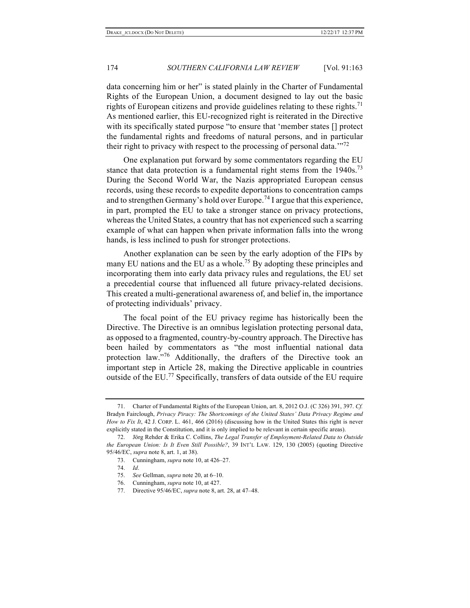data concerning him or her" is stated plainly in the Charter of Fundamental Rights of the European Union, a document designed to lay out the basic rights of European citizens and provide guidelines relating to these rights.<sup>71</sup> As mentioned earlier, this EU-recognized right is reiterated in the Directive with its specifically stated purpose "to ensure that 'member states [] protect the fundamental rights and freedoms of natural persons, and in particular their right to privacy with respect to the processing of personal data."<sup>72</sup>

One explanation put forward by some commentators regarding the EU stance that data protection is a fundamental right stems from the  $1940s$ .<sup>73</sup> During the Second World War, the Nazis appropriated European census records, using these records to expedite deportations to concentration camps and to strengthen Germany's hold over Europe.<sup>74</sup> I argue that this experience, in part, prompted the EU to take a stronger stance on privacy protections, whereas the United States, a country that has not experienced such a scarring example of what can happen when private information falls into the wrong hands, is less inclined to push for stronger protections.

Another explanation can be seen by the early adoption of the FIPs by many EU nations and the EU as a whole.<sup>75</sup> By adopting these principles and incorporating them into early data privacy rules and regulations, the EU set a precedential course that influenced all future privacy-related decisions. This created a multi-generational awareness of, and belief in, the importance of protecting individuals' privacy.

The focal point of the EU privacy regime has historically been the Directive. The Directive is an omnibus legislation protecting personal data, as opposed to a fragmented, country-by-country approach. The Directive has been hailed by commentators as "the most influential national data protection law."<sup>76</sup> Additionally, the drafters of the Directive took an important step in Article 28, making the Directive applicable in countries outside of the EU.77 Specifically, transfers of data outside of the EU require

<sup>71.</sup> Charter of Fundamental Rights of the European Union, art. 8, 2012 O.J. (C 326) 391, 397. *Cf.*  Bradyn Fairclough, *Privacy Piracy: The Shortcomings of the United States' Data Privacy Regime and How to Fix It*, 42 J. CORP. L. 461, 466 (2016) (discussing how in the United States this right is never explicitly stated in the Constitution, and it is only implied to be relevant in certain specific areas).

<sup>72.</sup> Jörg Rehder & Erika C. Collins, *The Legal Transfer of Employment-Related Data to Outside the European Union: Is It Even Still Possible?*, 39 INT'L LAW. 129, 130 (2005) (quoting Directive 95/46/EC, *supra* note 8, art. 1, at 38).

<sup>73.</sup> Cunningham, *supra* note 10, at 426–27.

<sup>74.</sup> *Id*.

<sup>75.</sup> *See* Gellman, *supra* note 20, at 6–10.

<sup>76.</sup> Cunningham, *supra* note 10, at 427.

<sup>77.</sup> Directive 95/46/EC, *supra* note 8, art. 28, at 47–48.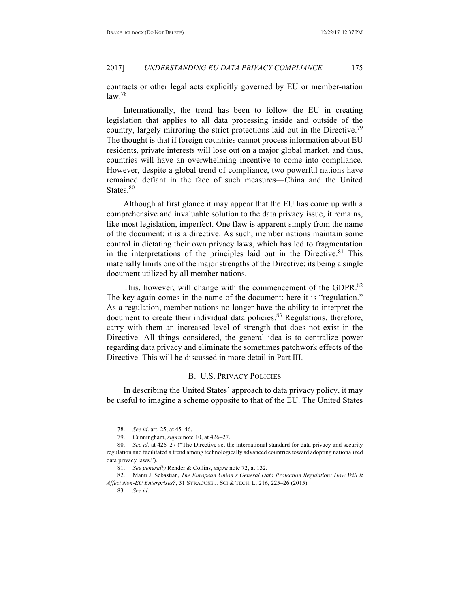contracts or other legal acts explicitly governed by EU or member-nation law. 78

Internationally, the trend has been to follow the EU in creating legislation that applies to all data processing inside and outside of the country, largely mirroring the strict protections laid out in the Directive.<sup>79</sup> The thought is that if foreign countries cannot process information about EU residents, private interests will lose out on a major global market, and thus, countries will have an overwhelming incentive to come into compliance. However, despite a global trend of compliance, two powerful nations have remained defiant in the face of such measures—China and the United States. 80

Although at first glance it may appear that the EU has come up with a comprehensive and invaluable solution to the data privacy issue, it remains, like most legislation, imperfect. One flaw is apparent simply from the name of the document: it is a directive. As such, member nations maintain some control in dictating their own privacy laws, which has led to fragmentation in the interpretations of the principles laid out in the Directive.<sup>81</sup> This materially limits one of the major strengths of the Directive: its being a single document utilized by all member nations.

This, however, will change with the commencement of the GDPR.<sup>82</sup> The key again comes in the name of the document: here it is "regulation." As a regulation, member nations no longer have the ability to interpret the document to create their individual data policies. $83$  Regulations, therefore, carry with them an increased level of strength that does not exist in the Directive. All things considered, the general idea is to centralize power regarding data privacy and eliminate the sometimes patchwork effects of the Directive. This will be discussed in more detail in Part III.

# B. U.S. PRIVACY POLICIES

In describing the United States' approach to data privacy policy, it may be useful to imagine a scheme opposite to that of the EU. The United States

<sup>78.</sup> *See id*. art. 25, at 45–46.

<sup>79.</sup> Cunningham, *supra* note 10, at 426–27.

<sup>80.</sup> *See id.* at 426–27 ("The Directive set the international standard for data privacy and security regulation and facilitated a trend among technologically advanced countries toward adopting nationalized data privacy laws.").

<sup>81.</sup> *See generally* Rehder & Collins, *supra* note 72, at 132.

<sup>82.</sup> Manu J. Sebastian, *The European Union's General Data Protection Regulation: How Will It Affect Non-EU Enterprises?*, 31 SYRACUSE J. SCI & TECH. L. 216, 225–26 (2015).

<sup>83.</sup> *See id*.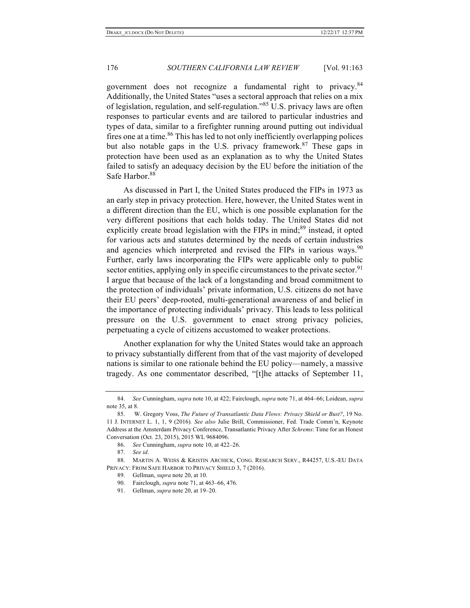government does not recognize a fundamental right to privacy.<sup>84</sup> Additionally, the United States "uses a sectoral approach that relies on a mix of legislation, regulation, and self-regulation."<sup>85</sup> U.S. privacy laws are often responses to particular events and are tailored to particular industries and types of data, similar to a firefighter running around putting out individual fires one at a time.<sup>86</sup> This has led to not only inefficiently overlapping polices but also notable gaps in the U.S. privacy framework.<sup>87</sup> These gaps in protection have been used as an explanation as to why the United States failed to satisfy an adequacy decision by the EU before the initiation of the Safe Harbor.<sup>88</sup>

As discussed in Part I, the United States produced the FIPs in 1973 as an early step in privacy protection. Here, however, the United States went in a different direction than the EU, which is one possible explanation for the very different positions that each holds today. The United States did not explicitly create broad legislation with the FIPs in mind;<sup>89</sup> instead, it opted for various acts and statutes determined by the needs of certain industries and agencies which interpreted and revised the FIPs in various ways.<sup>90</sup> Further, early laws incorporating the FIPs were applicable only to public sector entities, applying only in specific circumstances to the private sector.<sup>91</sup> I argue that because of the lack of a longstanding and broad commitment to the protection of individuals' private information, U.S. citizens do not have their EU peers' deep-rooted, multi-generational awareness of and belief in the importance of protecting individuals' privacy. This leads to less political pressure on the U.S. government to enact strong privacy policies, perpetuating a cycle of citizens accustomed to weaker protections.

Another explanation for why the United States would take an approach to privacy substantially different from that of the vast majority of developed nations is similar to one rationale behind the EU policy—namely, a massive tragedy. As one commentator described, "[t]he attacks of September 11,

<sup>84.</sup> *See* Cunningham, *supra* note 10, at 422; Fairclough, *supra* note 71, at 464–66; Loidean, *supra*  note 35, at 8.

<sup>85.</sup> W. Gregory Voss, *The Future of Transatlantic Data Flows: Privacy Shield or Bust?*, 19 No. 11 J. INTERNET L. 1, 1, 9 (2016)*. See also* Julie Brill, Commissioner, Fed. Trade Comm'n, Keynote Address at the Amsterdam Privacy Conference, Transatlantic Privacy After *Schrems*: Time for an Honest Conversation (Oct. 23, 2015), 2015 WL 9684096.

<sup>86.</sup> *See* Cunningham, *supra* note 10, at 422–26.

<sup>87.</sup> *See id*.

<sup>88.</sup> MARTIN A. WEISS & KRISTIN ARCHICK, CONG. RESEARCH SERV., R44257, U.S.-EU DATA PRIVACY: FROM SAFE HARBOR TO PRIVACY SHIELD 3, 7 (2016).

<sup>89.</sup> Gellman, *supra* note 20, at 10.

<sup>90.</sup> Fairclough, *supra* note 71, at 463–66, 476.

<sup>91.</sup> Gellman, *supra* note 20, at 19–20.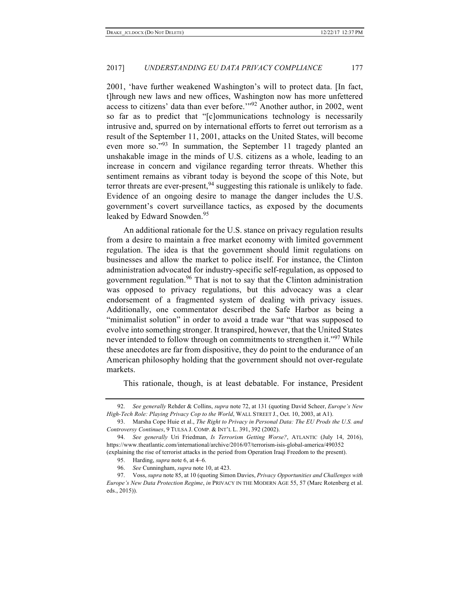2001, 'have further weakened Washington's will to protect data. [In fact, t]hrough new laws and new offices, Washington now has more unfettered access to citizens' data than ever before.'"<sup>92</sup> Another author, in 2002, went so far as to predict that "[c]ommunications technology is necessarily intrusive and, spurred on by international efforts to ferret out terrorism as a result of the September 11, 2001, attacks on the United States, will become even more so."<sup>93</sup> In summation, the September 11 tragedy planted an unshakable image in the minds of U.S. citizens as a whole, leading to an increase in concern and vigilance regarding terror threats. Whether this sentiment remains as vibrant today is beyond the scope of this Note, but terror threats are ever-present,  $94$  suggesting this rationale is unlikely to fade. Evidence of an ongoing desire to manage the danger includes the U.S. government's covert surveillance tactics, as exposed by the documents leaked by Edward Snowden.<sup>95</sup>

An additional rationale for the U.S. stance on privacy regulation results from a desire to maintain a free market economy with limited government regulation. The idea is that the government should limit regulations on businesses and allow the market to police itself. For instance, the Clinton administration advocated for industry-specific self-regulation, as opposed to government regulation.<sup>96</sup> That is not to say that the Clinton administration was opposed to privacy regulations, but this advocacy was a clear endorsement of a fragmented system of dealing with privacy issues. Additionally, one commentator described the Safe Harbor as being a "minimalist solution" in order to avoid a trade war "that was supposed to evolve into something stronger. It transpired, however, that the United States never intended to follow through on commitments to strengthen it."<sup>97</sup> While these anecdotes are far from dispositive, they do point to the endurance of an American philosophy holding that the government should not over-regulate markets.

This rationale, though, is at least debatable. For instance, President

<sup>92.</sup> *See generally* Rehder & Collins, *supra* note 72, at 131 (quoting David Scheer, *Europe's New High-Tech Role: Playing Privacy Cop to the World*, WALL STREET J., Oct. 10, 2003, at A1).

<sup>93.</sup> Marsha Cope Huie et al., *The Right to Privacy in Personal Data: The EU Prods the U.S. and Controversy Continues*, 9 TULSA J. COMP. & INT'L L. 391, 392 (2002).

<sup>94.</sup> *See generally* Uri Friedman, *Is Terrorism Getting Worse?*, ATLANTIC (July 14, 2016), https://www.theatlantic.com/international/archive/2016/07/terrorism-isis-global-america/490352 (explaining the rise of terrorist attacks in the period from Operation Iraqi Freedom to the present).

<sup>95.</sup> Harding, *supra* note 6, at 4–6.

<sup>96.</sup> *See* Cunningham, *supra* note 10, at 423.

<sup>97.</sup> Voss, *supra* note 85, at 10 (quoting Simon Davies, *Privacy Opportunities and Challenges with Europe's New Data Protection Regime*, *in* PRIVACY IN THE MODERN AGE 55, 57 (Marc Rotenberg et al. eds., 2015)).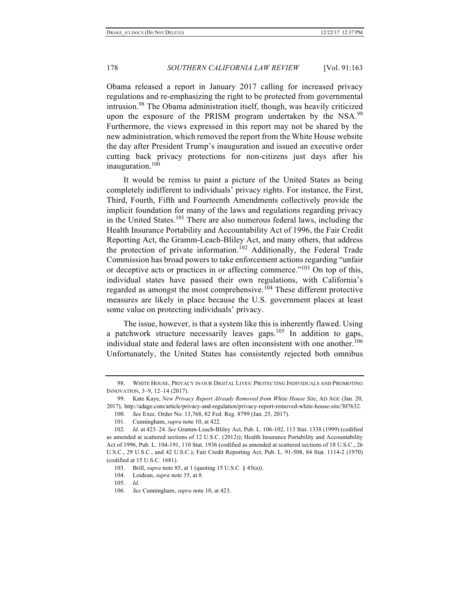Obama released a report in January 2017 calling for increased privacy regulations and re-emphasizing the right to be protected from governmental intrusion. <sup>98</sup> The Obama administration itself, though, was heavily criticized upon the exposure of the PRISM program undertaken by the NSA.<sup>99</sup> Furthermore, the views expressed in this report may not be shared by the new administration, which removed the report from the White House website the day after President Trump's inauguration and issued an executive order cutting back privacy protections for non-citizens just days after his inauguration. 100

It would be remiss to paint a picture of the United States as being completely indifferent to individuals' privacy rights. For instance, the First, Third, Fourth, Fifth and Fourteenth Amendments collectively provide the implicit foundation for many of the laws and regulations regarding privacy in the United States. <sup>101</sup> There are also numerous federal laws, including the Health Insurance Portability and Accountability Act of 1996, the Fair Credit Reporting Act, the Gramm-Leach-Bliley Act, and many others, that address the protection of private information. <sup>102</sup> Additionally, the Federal Trade Commission has broad powers to take enforcement actions regarding "unfair or deceptive acts or practices in or affecting commerce."<sup>103</sup> On top of this, individual states have passed their own regulations, with California's regarded as amongst the most comprehensive.<sup>104</sup> These different protective measures are likely in place because the U.S. government places at least some value on protecting individuals' privacy.

The issue, however, is that a system like this is inherently flawed. Using a patchwork structure necessarily leaves gaps.<sup>105</sup> In addition to gaps, individual state and federal laws are often inconsistent with one another.<sup>106</sup> Unfortunately, the United States has consistently rejected both omnibus

<sup>98.</sup> WHITE HOUSE, PRIVACY IN OUR DIGITAL LIVES: PROTECTING INDIVIDUALS AND PROMOTING INNOVATION, 3–9, 12–14 (2017).

<sup>99.</sup> Kate Kaye, *New Privacy Report Already Removed from White House Site*, AD AGE (Jan. 20, 2017), http://adage.com/article/privacy-and-regulation/privacy-report-removed-white-house-site/307632.

<sup>100.</sup> *See* Exec. Order No. 13,768, 82 Fed. Reg. 8799 (Jan. 25, 2017).

<sup>101.</sup> Cunningham, *supra* note 10, at 422.

<sup>102.</sup> *Id*. at 423–24. *See* Gramm-Leach-Bliley Act, Pub. L. 106-102, 113 Stat. 1338 (1999) (codified as amended at scattered sections of 12 U.S.C. (2012)); Health Insurance Portability and Accountability Act of 1996, Pub. L. 104-191, 110 Stat. 1936 (codified as amended at scattered sections of 18 U.S.C., 26 U.S.C., 29 U.S.C., and 42 U.S.C.); Fair Credit Reporting Act, Pub. L. 91-508, 84 Stat. 1114-2 (1970) (codified at 15 U.S.C. 1681).

<sup>103.</sup> Brill, *supra* note 85, at 1 (quoting 15 U.S.C. § 45(a)).

<sup>104.</sup> Loidean, *supra* note 35, at 8.

<sup>105.</sup> *Id*.

<sup>106.</sup> *See* Cunningham, *supra* note 10, at 423.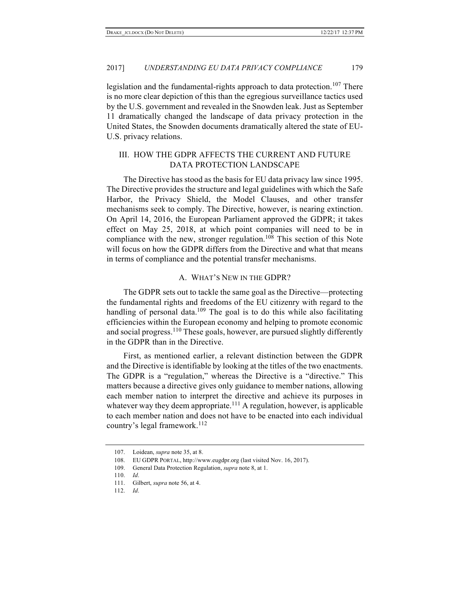legislation and the fundamental-rights approach to data protection.<sup>107</sup> There is no more clear depiction of this than the egregious surveillance tactics used by the U.S. government and revealed in the Snowden leak. Just as September 11 dramatically changed the landscape of data privacy protection in the United States, the Snowden documents dramatically altered the state of EU-U.S. privacy relations.

# III. HOW THE GDPR AFFECTS THE CURRENT AND FUTURE DATA PROTECTION LANDSCAPE

The Directive has stood as the basis for EU data privacy law since 1995. The Directive provides the structure and legal guidelines with which the Safe Harbor, the Privacy Shield, the Model Clauses, and other transfer mechanisms seek to comply. The Directive, however, is nearing extinction. On April 14, 2016, the European Parliament approved the GDPR; it takes effect on May 25, 2018, at which point companies will need to be in compliance with the new, stronger regulation.<sup>108</sup> This section of this Note will focus on how the GDPR differs from the Directive and what that means in terms of compliance and the potential transfer mechanisms.

#### A. WHAT'S NEW IN THE GDPR?

The GDPR sets out to tackle the same goal as the Directive—protecting the fundamental rights and freedoms of the EU citizenry with regard to the handling of personal data.<sup>109</sup> The goal is to do this while also facilitating efficiencies within the European economy and helping to promote economic and social progress.<sup>110</sup> These goals, however, are pursued slightly differently in the GDPR than in the Directive.

First, as mentioned earlier, a relevant distinction between the GDPR and the Directive is identifiable by looking at the titles of the two enactments. The GDPR is a "regulation," whereas the Directive is a "directive." This matters because a directive gives only guidance to member nations, allowing each member nation to interpret the directive and achieve its purposes in whatever way they deem appropriate.<sup>111</sup> A regulation, however, is applicable to each member nation and does not have to be enacted into each individual country's legal framework.<sup>112</sup>

<sup>107.</sup> Loidean, *supra* note 35, at 8.

<sup>108.</sup> EU GDPR PORTAL, http://www.eugdpr.org (last visited Nov. 16, 2017).

<sup>109.</sup> General Data Protection Regulation, *supra* note 8, at 1.

<sup>110.</sup> *Id*.

<sup>111.</sup> Gilbert, *supra* note 56, at 4.

<sup>112.</sup> *Id*.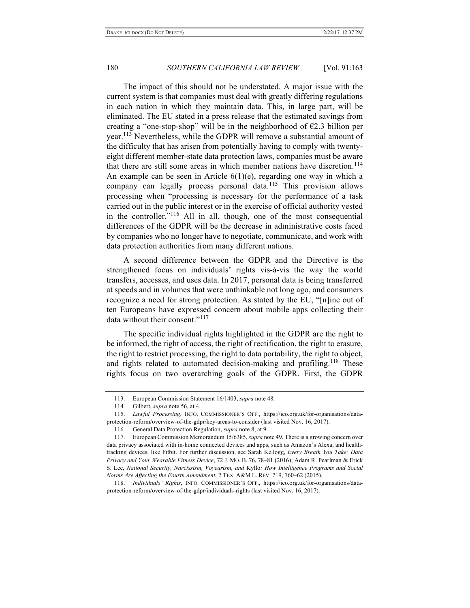The impact of this should not be understated. A major issue with the current system is that companies must deal with greatly differing regulations in each nation in which they maintain data. This, in large part, will be eliminated. The EU stated in a press release that the estimated savings from creating a "one-stop-shop" will be in the neighborhood of  $E2.3$  billion per year.113 Nevertheless, while the GDPR will remove a substantial amount of the difficulty that has arisen from potentially having to comply with twentyeight different member-state data protection laws, companies must be aware that there are still some areas in which member nations have discretion.<sup>114</sup> An example can be seen in Article  $6(1)(e)$ , regarding one way in which a company can legally process personal data.<sup>115</sup> This provision allows processing when "processing is necessary for the performance of a task carried out in the public interest or in the exercise of official authority vested in the controller."<sup>116</sup> All in all, though, one of the most consequential differences of the GDPR will be the decrease in administrative costs faced by companies who no longer have to negotiate, communicate, and work with data protection authorities from many different nations.

A second difference between the GDPR and the Directive is the strengthened focus on individuals' rights vis-à-vis the way the world transfers, accesses, and uses data. In 2017, personal data is being transferred at speeds and in volumes that were unthinkable not long ago, and consumers recognize a need for strong protection. As stated by the EU, "[n]ine out of ten Europeans have expressed concern about mobile apps collecting their data without their consent."<sup>117</sup>

The specific individual rights highlighted in the GDPR are the right to be informed, the right of access, the right of rectification, the right to erasure, the right to restrict processing, the right to data portability, the right to object, and rights related to automated decision-making and profiling.<sup>118</sup> These rights focus on two overarching goals of the GDPR. First, the GDPR

<sup>113.</sup> European Commission Statement 16/1403, *supra* note 48.

<sup>114.</sup> Gilbert, *supra* note 56, at 4.

<sup>115.</sup> *Lawful Processing*, INFO. COMMISSIONER'S OFF., https://ico.org.uk/for-organisations/dataprotection-reform/overview-of-the-gdpr/key-areas-to-consider (last visited Nov. 16, 2017).

<sup>116.</sup> General Data Protection Regulation, *supra* note 8, at 9.

<sup>117.</sup> European Commission Memorandum 15/6385, *supra* note 49. There is a growing concern over data privacy associated with in-home connected devices and apps, such as Amazon's Alexa, and healthtracking devices, like Fitbit. For further discussion, see Sarah Kellogg, *Every Breath You Take: Data Privacy and Your Wearable Fitness Device*, 72 J. MO. B. 76, 78–81 (2016); Adam R. Pearlman & Erick S. Lee, *National Security, Narcissism, Voyeurism, and* Kyllo*: How Intelligence Programs and Social Norms Are Affecting the Fourth Amendment*, 2 TEX. A&M L. REV. 719, 760–62 (2015).

<sup>118.</sup> *Individuals' Rights*, INFO. COMMISSIONER'S OFF., https://ico.org.uk/for-organisations/dataprotection-reform/overview-of-the-gdpr/individuals-rights (last visited Nov. 16, 2017).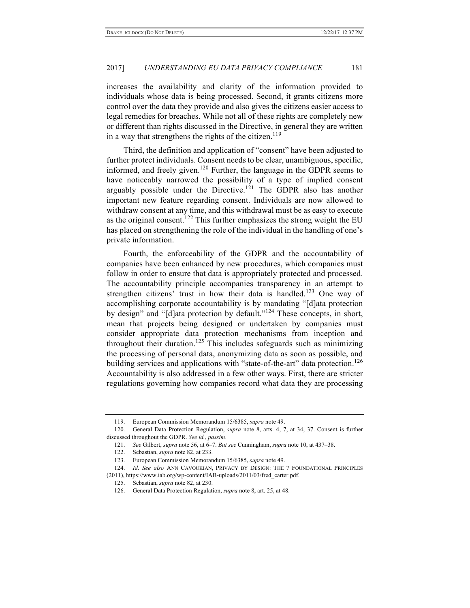increases the availability and clarity of the information provided to individuals whose data is being processed. Second, it grants citizens more control over the data they provide and also gives the citizens easier access to legal remedies for breaches. While not all of these rights are completely new or different than rights discussed in the Directive, in general they are written in a way that strengthens the rights of the citizen.<sup>119</sup>

Third, the definition and application of "consent" have been adjusted to further protect individuals. Consent needs to be clear, unambiguous, specific, informed, and freely given.<sup>120</sup> Further, the language in the GDPR seems to have noticeably narrowed the possibility of a type of implied consent arguably possible under the Directive.<sup>121</sup> The GDPR also has another important new feature regarding consent. Individuals are now allowed to withdraw consent at any time, and this withdrawal must be as easy to execute as the original consent.<sup>122</sup> This further emphasizes the strong weight the EU has placed on strengthening the role of the individual in the handling of one's private information.

Fourth, the enforceability of the GDPR and the accountability of companies have been enhanced by new procedures, which companies must follow in order to ensure that data is appropriately protected and processed. The accountability principle accompanies transparency in an attempt to strengthen citizens' trust in how their data is handled.<sup>123</sup> One way of accomplishing corporate accountability is by mandating "[d]ata protection by design" and "[d]ata protection by default."<sup>124</sup> These concepts, in short, mean that projects being designed or undertaken by companies must consider appropriate data protection mechanisms from inception and throughout their duration.<sup>125</sup> This includes safeguards such as minimizing the processing of personal data, anonymizing data as soon as possible, and building services and applications with "state-of-the-art" data protection.<sup>126</sup> Accountability is also addressed in a few other ways. First, there are stricter regulations governing how companies record what data they are processing

<sup>119.</sup> European Commission Memorandum 15/6385, *supra* note 49.

<sup>120.</sup> General Data Protection Regulation, *supra* note 8, arts. 4, 7, at 34, 37. Consent is further discussed throughout the GDPR. *See id.*, *passim*.

<sup>121.</sup> *See* Gilbert, *supra* note 56, at 6–7. *But see* Cunningham, *supra* note 10, at 437–38.

<sup>122.</sup> Sebastian, *supra* note 82, at 233.

<sup>123.</sup> European Commission Memorandum 15/6385, *supra* note 49.

<sup>124.</sup> *Id*. *See also* ANN CAVOUKIAN, PRIVACY BY DESIGN: THE 7 FOUNDATIONAL PRINCIPLES (2011), https://www.iab.org/wp-content/IAB-uploads/2011/03/fred\_carter.pdf.

<sup>125.</sup> Sebastian, *supra* note 82, at 230.

<sup>126.</sup> General Data Protection Regulation, *supra* note 8, art. 25, at 48.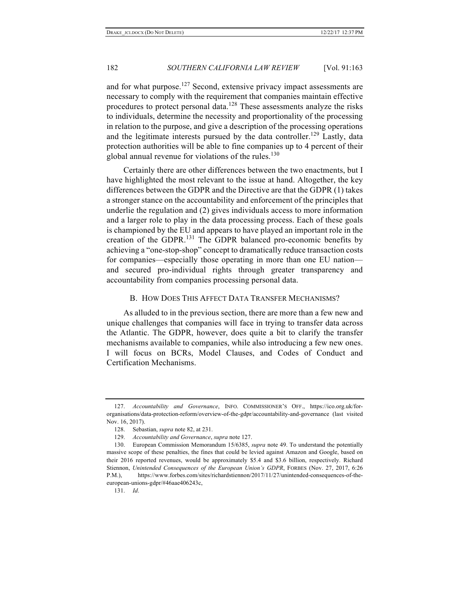and for what purpose.<sup>127</sup> Second, extensive privacy impact assessments are necessary to comply with the requirement that companies maintain effective procedures to protect personal data.<sup>128</sup> These assessments analyze the risks to individuals, determine the necessity and proportionality of the processing in relation to the purpose, and give a description of the processing operations and the legitimate interests pursued by the data controller.<sup>129</sup> Lastly, data protection authorities will be able to fine companies up to 4 percent of their global annual revenue for violations of the rules. $130$ 

Certainly there are other differences between the two enactments, but I have highlighted the most relevant to the issue at hand. Altogether, the key differences between the GDPR and the Directive are that the GDPR (1) takes a stronger stance on the accountability and enforcement of the principles that underlie the regulation and (2) gives individuals access to more information and a larger role to play in the data processing process. Each of these goals is championed by the EU and appears to have played an important role in the creation of the GDPR.<sup>131</sup> The GDPR balanced pro-economic benefits by achieving a "one-stop-shop" concept to dramatically reduce transaction costs for companies—especially those operating in more than one EU nation and secured pro-individual rights through greater transparency and accountability from companies processing personal data.

#### B. HOW DOES THIS AFFECT DATA TRANSFER MECHANISMS?

As alluded to in the previous section, there are more than a few new and unique challenges that companies will face in trying to transfer data across the Atlantic. The GDPR, however, does quite a bit to clarify the transfer mechanisms available to companies, while also introducing a few new ones. I will focus on BCRs, Model Clauses, and Codes of Conduct and Certification Mechanisms.

<sup>127.</sup> *Accountability and Governance*, INFO. COMMISSIONER'S OFF., https://ico.org.uk/fororganisations/data-protection-reform/overview-of-the-gdpr/accountability-and-governance (last visited Nov. 16, 2017).

<sup>128.</sup> Sebastian, *supra* note 82, at 231.

<sup>129.</sup> *Accountability and Governance*, *supra* note 127.

<sup>130.</sup> European Commission Memorandum 15/6385, *supra* note 49. To understand the potentially massive scope of these penalties, the fines that could be levied against Amazon and Google, based on their 2016 reported revenues, would be approximately \$5.4 and \$3.6 billion, respectively. Richard Stiennon, *Unintended Consequences of the European Union's GDPR*, FORBES (Nov. 27, 2017, 6:26 P.M.), https://www.forbes.com/sites/richardstiennon/2017/11/27/unintended-consequences-of-theeuropean-unions-gdpr/#46aae406243c,

<sup>131.</sup> *Id*.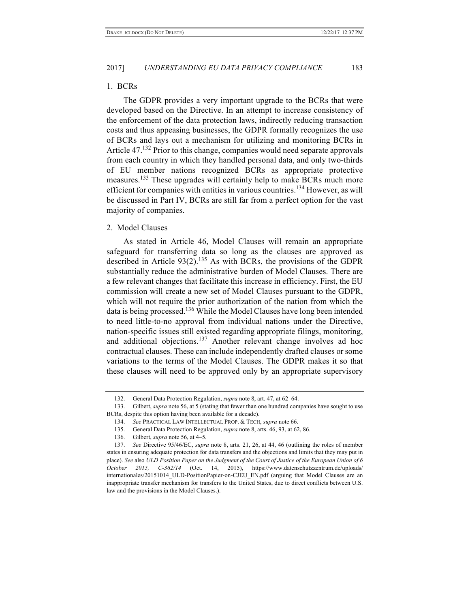#### 1. BCRs

The GDPR provides a very important upgrade to the BCRs that were developed based on the Directive. In an attempt to increase consistency of the enforcement of the data protection laws, indirectly reducing transaction costs and thus appeasing businesses, the GDPR formally recognizes the use of BCRs and lays out a mechanism for utilizing and monitoring BCRs in Article 47.<sup>132</sup> Prior to this change, companies would need separate approvals from each country in which they handled personal data, and only two-thirds of EU member nations recognized BCRs as appropriate protective measures.<sup>133</sup> These upgrades will certainly help to make BCRs much more efficient for companies with entities in various countries.<sup>134</sup> However, as will be discussed in Part IV, BCRs are still far from a perfect option for the vast majority of companies.

#### 2. Model Clauses

As stated in Article 46, Model Clauses will remain an appropriate safeguard for transferring data so long as the clauses are approved as described in Article  $93(2)$ .<sup>135</sup> As with BCRs, the provisions of the GDPR substantially reduce the administrative burden of Model Clauses. There are a few relevant changes that facilitate this increase in efficiency. First, the EU commission will create a new set of Model Clauses pursuant to the GDPR, which will not require the prior authorization of the nation from which the data is being processed.<sup>136</sup> While the Model Clauses have long been intended to need little-to-no approval from individual nations under the Directive, nation-specific issues still existed regarding appropriate filings, monitoring, and additional objections.<sup>137</sup> Another relevant change involves ad hoc contractual clauses. These can include independently drafted clauses or some variations to the terms of the Model Clauses. The GDPR makes it so that these clauses will need to be approved only by an appropriate supervisory

<sup>132.</sup> General Data Protection Regulation, *supra* note 8, art. 47, at 62–64.

<sup>133.</sup> Gilbert, *supra* note 56, at 5 (stating that fewer than one hundred companies have sought to use BCRs, despite this option having been available for a decade).

<sup>134.</sup> *See* PRACTICAL LAW INTELLECTUAL PROP. & TECH, *supra* note 66.

<sup>135.</sup> General Data Protection Regulation, *supra* note 8, arts. 46, 93, at 62, 86.

<sup>136.</sup> Gilbert, *supra* note 56, at 4–5*.*

<sup>137.</sup> *See* Directive 95/46/EC, *supra* note 8, arts. 21, 26, at 44, 46 (outlining the roles of member states in ensuring adequate protection for data transfers and the objections and limits that they may put in place). *See* also *ULD Position Paper on the Judgment of the Court of Justice of the European Union of 6 October 2015, C-362/14* (Oct. 14, 2015), https://www.datenschutzzentrum.de/uploads/ internationales/20151014\_ULD-PositionPapier-on-CJEU\_EN.pdf (arguing that Model Clauses are an inappropriate transfer mechanism for transfers to the United States, due to direct conflicts between U.S. law and the provisions in the Model Clauses.).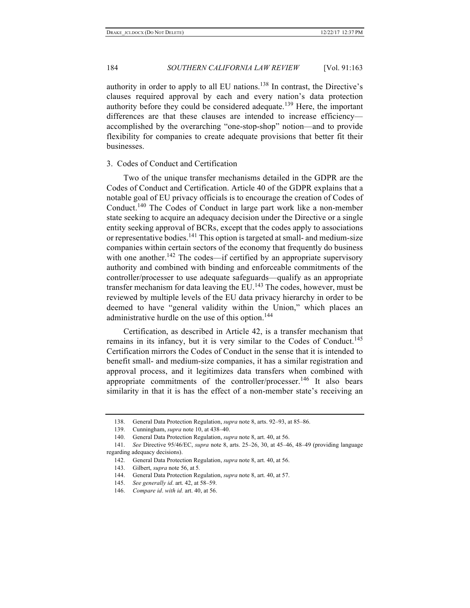authority in order to apply to all EU nations.<sup>138</sup> In contrast, the Directive's clauses required approval by each and every nation's data protection authority before they could be considered adequate.<sup>139</sup> Here, the important differences are that these clauses are intended to increase efficiency accomplished by the overarching "one-stop-shop" notion—and to provide flexibility for companies to create adequate provisions that better fit their businesses.

#### 3. Codes of Conduct and Certification

Two of the unique transfer mechanisms detailed in the GDPR are the Codes of Conduct and Certification. Article 40 of the GDPR explains that a notable goal of EU privacy officials is to encourage the creation of Codes of Conduct.<sup>140</sup> The Codes of Conduct in large part work like a non-member state seeking to acquire an adequacy decision under the Directive or a single entity seeking approval of BCRs, except that the codes apply to associations or representative bodies.<sup>141</sup> This option is targeted at small- and medium-size companies within certain sectors of the economy that frequently do business with one another.<sup>142</sup> The codes—if certified by an appropriate supervisory authority and combined with binding and enforceable commitments of the controller/processer to use adequate safeguards—qualify as an appropriate transfer mechanism for data leaving the EU.<sup>143</sup> The codes, however, must be reviewed by multiple levels of the EU data privacy hierarchy in order to be deemed to have "general validity within the Union," which places an administrative hurdle on the use of this option.<sup>144</sup>

Certification, as described in Article 42, is a transfer mechanism that remains in its infancy, but it is very similar to the Codes of Conduct.<sup>145</sup> Certification mirrors the Codes of Conduct in the sense that it is intended to benefit small- and medium-size companies, it has a similar registration and approval process, and it legitimizes data transfers when combined with appropriate commitments of the controller/processer.<sup>146</sup> It also bears similarity in that it is has the effect of a non-member state's receiving an

<sup>138.</sup> General Data Protection Regulation, *supra* note 8, arts. 92–93, at 85–86.

<sup>139.</sup> Cunningham, *supra* note 10, at 438–40.

<sup>140.</sup> General Data Protection Regulation, *supra* note 8, art. 40, at 56.

<sup>141.</sup> *See* Directive 95/46/EC, *supra* note 8, arts. 25–26, 30, at 45–46, 48–49 (providing language regarding adequacy decisions).

<sup>142.</sup> General Data Protection Regulation, *supra* note 8, art. 40, at 56.

<sup>143.</sup> Gilbert, *supra* note 56, at 5*.*

<sup>144.</sup> General Data Protection Regulation, *supra* note 8, art. 40, at 57.

<sup>145.</sup> *See generally id*. art. 42, at 58–59.

<sup>146.</sup> *Compare id*. *with id.* art. 40, at 56.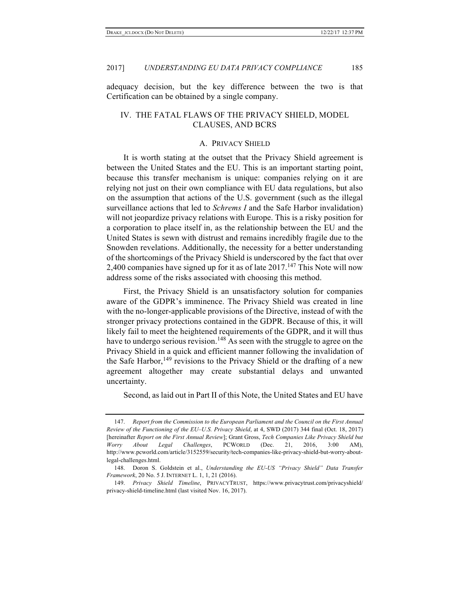adequacy decision, but the key difference between the two is that Certification can be obtained by a single company.

# IV. THE FATAL FLAWS OF THE PRIVACY SHIELD, MODEL CLAUSES, AND BCRS

#### A. PRIVACY SHIELD

It is worth stating at the outset that the Privacy Shield agreement is between the United States and the EU. This is an important starting point, because this transfer mechanism is unique: companies relying on it are relying not just on their own compliance with EU data regulations, but also on the assumption that actions of the U.S. government (such as the illegal surveillance actions that led to *Schrems I* and the Safe Harbor invalidation) will not jeopardize privacy relations with Europe. This is a risky position for a corporation to place itself in, as the relationship between the EU and the United States is sewn with distrust and remains incredibly fragile due to the Snowden revelations. Additionally, the necessity for a better understanding of the shortcomings of the Privacy Shield is underscored by the fact that over 2,400 companies have signed up for it as of late  $2017$ .<sup>147</sup> This Note will now address some of the risks associated with choosing this method.

First, the Privacy Shield is an unsatisfactory solution for companies aware of the GDPR's imminence. The Privacy Shield was created in line with the no-longer-applicable provisions of the Directive, instead of with the stronger privacy protections contained in the GDPR. Because of this, it will likely fail to meet the heightened requirements of the GDPR, and it will thus have to undergo serious revision.<sup>148</sup> As seen with the struggle to agree on the Privacy Shield in a quick and efficient manner following the invalidation of the Safe Harbor,<sup>149</sup> revisions to the Privacy Shield or the drafting of a new agreement altogether may create substantial delays and unwanted uncertainty.

Second, as laid out in Part II of this Note, the United States and EU have

<sup>147.</sup> *Report from the Commission to the European Parliament and the Council on the First Annual Review of the Functioning of the EU–U.S. Privacy Shield*, at 4, SWD (2017) 344 final (Oct. 18, 2017) [hereinafter *Report on the First Annual Review*]; Grant Gross, *Tech Companies Like Privacy Shield but Worry About Legal Challenges*, PCWORLD (Dec. 21, 2016, 3:00 AM), http://www.pcworld.com/article/3152559/security/tech-companies-like-privacy-shield-but-worry-aboutlegal-challenges.html.

<sup>148.</sup> Doron S. Goldstein et al., *Understanding the EU-US "Privacy Shield" Data Transfer Framework*, 20 No. 5 J. INTERNET L. 1, 1, 21 (2016).

<sup>149.</sup> *Privacy Shield Timeline*, PRIVACYTRUST, https://www.privacytrust.com/privacyshield/ privacy-shield-timeline.html (last visited Nov. 16, 2017).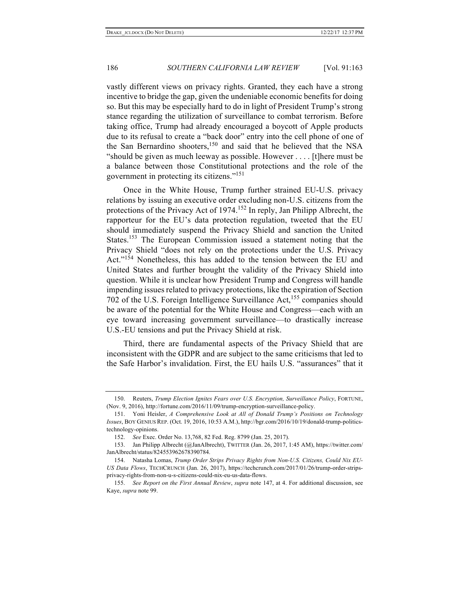vastly different views on privacy rights. Granted, they each have a strong incentive to bridge the gap, given the undeniable economic benefits for doing so. But this may be especially hard to do in light of President Trump's strong stance regarding the utilization of surveillance to combat terrorism. Before taking office, Trump had already encouraged a boycott of Apple products due to its refusal to create a "back door" entry into the cell phone of one of the San Bernardino shooters, <sup>150</sup> and said that he believed that the NSA "should be given as much leeway as possible. However . . . . [t]here must be a balance between those Constitutional protections and the role of the government in protecting its citizens."151

Once in the White House, Trump further strained EU-U.S. privacy relations by issuing an executive order excluding non-U.S. citizens from the protections of the Privacy Act of 1974.<sup>152</sup> In reply, Jan Philipp Albrecht, the rapporteur for the EU's data protection regulation, tweeted that the EU should immediately suspend the Privacy Shield and sanction the United States.<sup>153</sup> The European Commission issued a statement noting that the Privacy Shield "does not rely on the protections under the U.S. Privacy Act."<sup>154</sup> Nonetheless, this has added to the tension between the EU and United States and further brought the validity of the Privacy Shield into question. While it is unclear how President Trump and Congress will handle impending issues related to privacy protections, like the expiration of Section 702 of the U.S. Foreign Intelligence Surveillance Act, <sup>155</sup> companies should be aware of the potential for the White House and Congress—each with an eye toward increasing government surveillance—to drastically increase U.S.-EU tensions and put the Privacy Shield at risk.

Third, there are fundamental aspects of the Privacy Shield that are inconsistent with the GDPR and are subject to the same criticisms that led to the Safe Harbor's invalidation. First, the EU hails U.S. "assurances" that it

<sup>150.</sup> Reuters, *Trump Election Ignites Fears over U.S. Encryption, Surveillance Policy*, FORTUNE, (Nov. 9, 2016), http://fortune.com/2016/11/09/trump-encryption-surveillance-policy.

<sup>151.</sup> Yoni Heisler, *A Comprehensive Look at All of Donald Trump's Positions on Technology Issues*, BOY GENIUS REP. (Oct. 19, 2016, 10:53 A.M.), http://bgr.com/2016/10/19/donald-trump-politicstechnology-opinions.

<sup>152.</sup> *See* Exec. Order No. 13,768, 82 Fed. Reg. 8799 (Jan. 25, 2017).

<sup>153.</sup> Jan Philipp Albrecht (@JanAlbrecht), TWITTER (Jan. 26, 2017, 1:45 AM), https://twitter.com/ JanAlbrecht/status/824553962678390784.

<sup>154.</sup> Natasha Lomas, *Trump Order Strips Privacy Rights from Non-U.S. Citizens, Could Nix EU-US Data Flows*, TECHCRUNCH (Jan. 26, 2017), https://techcrunch.com/2017/01/26/trump-order-stripsprivacy-rights-from-non-u-s-citizens-could-nix-eu-us-data-flows.

<sup>155.</sup> *See Report on the First Annual Review*, *supra* note 147, at 4. For additional discussion, see Kaye, *supra* note 99.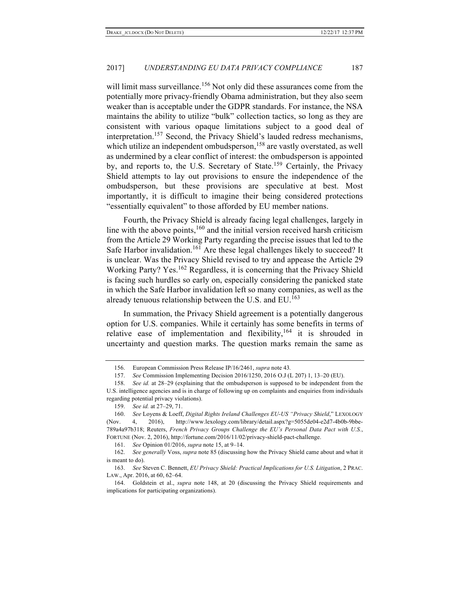will limit mass surveillance.<sup>156</sup> Not only did these assurances come from the potentially more privacy-friendly Obama administration, but they also seem weaker than is acceptable under the GDPR standards. For instance, the NSA maintains the ability to utilize "bulk" collection tactics, so long as they are consistent with various opaque limitations subject to a good deal of interpretation.157 Second, the Privacy Shield's lauded redress mechanisms, which utilize an independent ombudsperson,<sup>158</sup> are vastly overstated, as well as undermined by a clear conflict of interest: the ombudsperson is appointed by, and reports to, the U.S. Secretary of State.<sup>159</sup> Certainly, the Privacy Shield attempts to lay out provisions to ensure the independence of the ombudsperson, but these provisions are speculative at best. Most importantly, it is difficult to imagine their being considered protections "essentially equivalent" to those afforded by EU member nations.

Fourth, the Privacy Shield is already facing legal challenges, largely in line with the above points,  $160$  and the initial version received harsh criticism from the Article 29 Working Party regarding the precise issues that led to the Safe Harbor invalidation.<sup>161</sup> Are these legal challenges likely to succeed? It is unclear. Was the Privacy Shield revised to try and appease the Article 29 Working Party? Yes.<sup>162</sup> Regardless, it is concerning that the Privacy Shield is facing such hurdles so early on, especially considering the panicked state in which the Safe Harbor invalidation left so many companies, as well as the already tenuous relationship between the U.S. and EU.<sup>163</sup>

In summation, the Privacy Shield agreement is a potentially dangerous option for U.S. companies. While it certainly has some benefits in terms of relative ease of implementation and flexibility,  $164$  it is shrouded in uncertainty and question marks. The question marks remain the same as

<sup>156.</sup> European Commission Press Release IP/16/2461, *supra* note 43*.*

<sup>157.</sup> *See* Commission Implementing Decision 2016/1250, 2016 O.J (L 207) 1, 13–20 (EU).

<sup>158.</sup> *See id.* at 28–29 (explaining that the ombudsperson is supposed to be independent from the U.S. intelligence agencies and is in charge of following up on complaints and enquiries from individuals regarding potential privacy violations).

<sup>159.</sup> *See id.* at 27–29, 71.

<sup>160.</sup> *See* Loyens & Loeff, *Digital Rights Ireland Challenges EU-US "Privacy Shield*," LEXOLOGY (Nov. 4, 2016), http://www.lexology.com/library/detail.aspx?g=5055de04-e2d7-4b0b-9bbe-789a4a97b318; Reuters, *French Privacy Groups Challenge the EU's Personal Data Pact with U.S.*, FORTUNE (Nov. 2, 2016), http://fortune.com/2016/11/02/privacy-shield-pact-challenge.

<sup>161.</sup> *See* Opinion 01/2016, *supra* note 15, at 9–14.

<sup>162.</sup> *See generally* Voss, *supra* note 85 (discussing how the Privacy Shield came about and what it is meant to do).

<sup>163.</sup> *See* Steven C. Bennett, *EU Privacy Shield: Practical Implications for U.S. Litigation*, 2 PRAC. LAW., Apr. 2016, at 60, 62–64.

<sup>164.</sup> Goldstein et al., *supra* note 148, at 20 (discussing the Privacy Shield requirements and implications for participating organizations).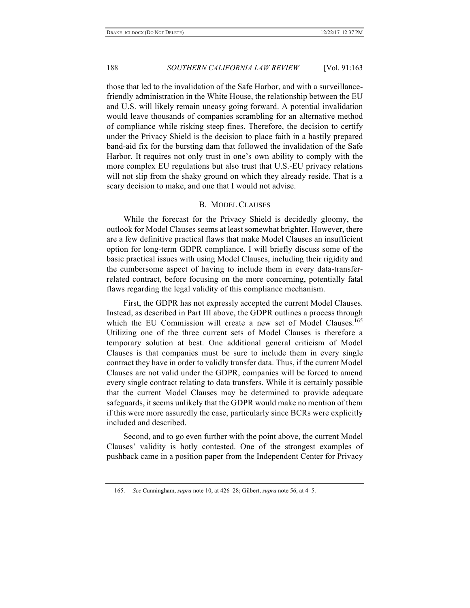those that led to the invalidation of the Safe Harbor, and with a surveillancefriendly administration in the White House, the relationship between the EU and U.S. will likely remain uneasy going forward. A potential invalidation would leave thousands of companies scrambling for an alternative method of compliance while risking steep fines. Therefore, the decision to certify under the Privacy Shield is the decision to place faith in a hastily prepared band-aid fix for the bursting dam that followed the invalidation of the Safe Harbor. It requires not only trust in one's own ability to comply with the more complex EU regulations but also trust that U.S.-EU privacy relations will not slip from the shaky ground on which they already reside. That is a scary decision to make, and one that I would not advise.

#### B. MODEL CLAUSES

While the forecast for the Privacy Shield is decidedly gloomy, the outlook for Model Clauses seems at least somewhat brighter. However, there are a few definitive practical flaws that make Model Clauses an insufficient option for long-term GDPR compliance. I will briefly discuss some of the basic practical issues with using Model Clauses, including their rigidity and the cumbersome aspect of having to include them in every data-transferrelated contract, before focusing on the more concerning, potentially fatal flaws regarding the legal validity of this compliance mechanism.

First, the GDPR has not expressly accepted the current Model Clauses. Instead, as described in Part III above, the GDPR outlines a process through which the EU Commission will create a new set of Model Clauses.<sup>165</sup> Utilizing one of the three current sets of Model Clauses is therefore a temporary solution at best. One additional general criticism of Model Clauses is that companies must be sure to include them in every single contract they have in order to validly transfer data. Thus, if the current Model Clauses are not valid under the GDPR, companies will be forced to amend every single contract relating to data transfers. While it is certainly possible that the current Model Clauses may be determined to provide adequate safeguards, it seems unlikely that the GDPR would make no mention of them if this were more assuredly the case, particularly since BCRs were explicitly included and described.

Second, and to go even further with the point above, the current Model Clauses' validity is hotly contested. One of the strongest examples of pushback came in a position paper from the Independent Center for Privacy

<sup>165.</sup> *See* Cunningham, *supra* note 10, at 426–28; Gilbert, *supra* note 56, at 4–5.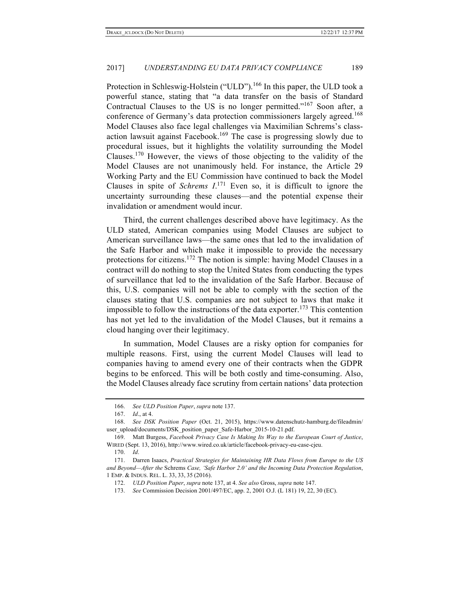Protection in Schleswig-Holstein ("ULD").<sup>166</sup> In this paper, the ULD took a powerful stance, stating that "a data transfer on the basis of Standard Contractual Clauses to the US is no longer permitted."<sup>167</sup> Soon after, a conference of Germany's data protection commissioners largely agreed.<sup>168</sup> Model Clauses also face legal challenges via Maximilian Schrems's classaction lawsuit against Facebook.<sup>169</sup> The case is progressing slowly due to procedural issues, but it highlights the volatility surrounding the Model Clauses.<sup>170</sup> However, the views of those objecting to the validity of the Model Clauses are not unanimously held. For instance, the Article 29 Working Party and the EU Commission have continued to back the Model Clauses in spite of *Schrems*  $I^{171}$  Even so, it is difficult to ignore the uncertainty surrounding these clauses—and the potential expense their invalidation or amendment would incur.

Third, the current challenges described above have legitimacy. As the ULD stated, American companies using Model Clauses are subject to American surveillance laws—the same ones that led to the invalidation of the Safe Harbor and which make it impossible to provide the necessary protections for citizens.<sup>172</sup> The notion is simple: having Model Clauses in a contract will do nothing to stop the United States from conducting the types of surveillance that led to the invalidation of the Safe Harbor. Because of this, U.S. companies will not be able to comply with the section of the clauses stating that U.S. companies are not subject to laws that make it impossible to follow the instructions of the data exporter.<sup>173</sup> This contention has not yet led to the invalidation of the Model Clauses, but it remains a cloud hanging over their legitimacy.

In summation, Model Clauses are a risky option for companies for multiple reasons. First, using the current Model Clauses will lead to companies having to amend every one of their contracts when the GDPR begins to be enforced. This will be both costly and time-consuming. Also, the Model Clauses already face scrutiny from certain nations' data protection

<sup>166.</sup> *See ULD Position Paper*, *supra* note 137.

<sup>167.</sup> *Id*., at 4.

<sup>168.</sup> *See DSK Position Paper* (Oct. 21, 2015), https://www.datenschutz-hamburg.de/fileadmin/ user\_upload/documents/DSK\_position\_paper\_Safe-Harbor\_2015-10-21.pdf.

<sup>169.</sup> Matt Burgess, *Facebook Privacy Case Is Making Its Way to the European Court of Justice*, WIRED (Sept. 13, 2016), http://www.wired.co.uk/article/facebook-privacy-eu-case-cjeu.

<sup>170.</sup> *Id*.

<sup>171.</sup> Darren Isaacs, *Practical Strategies for Maintaining HR Data Flows from Europe to the US and Beyond—After the* Schrems *Case, 'Safe Harbor 2.0' and the Incoming Data Protection Regulation*, 1 EMP. & INDUS. REL. L. 33, 33, 35 (2016).

<sup>172.</sup> *ULD Position Paper*, *supra* note 137, at 4. *See also* Gross, *supra* note 147.

<sup>173.</sup> *See* Commission Decision 2001/497/EC, app. 2, 2001 O.J. (L 181) 19, 22, 30 (EC).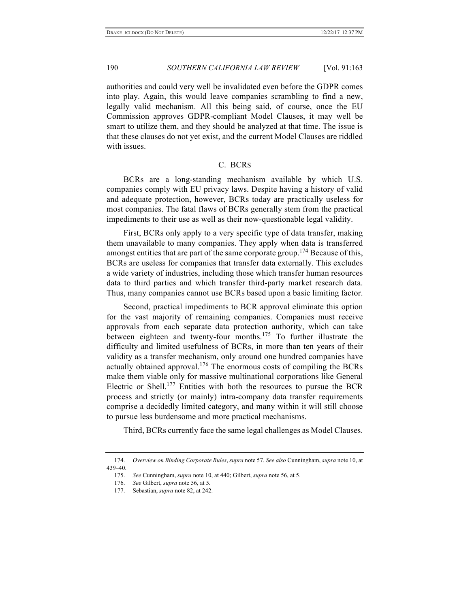authorities and could very well be invalidated even before the GDPR comes into play. Again, this would leave companies scrambling to find a new, legally valid mechanism. All this being said, of course, once the EU Commission approves GDPR-compliant Model Clauses, it may well be smart to utilize them, and they should be analyzed at that time. The issue is that these clauses do not yet exist, and the current Model Clauses are riddled with issues.

# C. BCRS

BCRs are a long-standing mechanism available by which U.S. companies comply with EU privacy laws. Despite having a history of valid and adequate protection, however, BCRs today are practically useless for most companies. The fatal flaws of BCRs generally stem from the practical impediments to their use as well as their now-questionable legal validity.

First, BCRs only apply to a very specific type of data transfer, making them unavailable to many companies. They apply when data is transferred amongst entities that are part of the same corporate group.<sup>174</sup> Because of this, BCRs are useless for companies that transfer data externally. This excludes a wide variety of industries, including those which transfer human resources data to third parties and which transfer third-party market research data. Thus, many companies cannot use BCRs based upon a basic limiting factor.

Second, practical impediments to BCR approval eliminate this option for the vast majority of remaining companies. Companies must receive approvals from each separate data protection authority, which can take between eighteen and twenty-four months.<sup>175</sup> To further illustrate the difficulty and limited usefulness of BCRs, in more than ten years of their validity as a transfer mechanism, only around one hundred companies have actually obtained approval.<sup>176</sup> The enormous costs of compiling the BCRs make them viable only for massive multinational corporations like General Electric or Shell.<sup>177</sup> Entities with both the resources to pursue the BCR process and strictly (or mainly) intra-company data transfer requirements comprise a decidedly limited category, and many within it will still choose to pursue less burdensome and more practical mechanisms.

Third, BCRs currently face the same legal challenges as Model Clauses.

<sup>174.</sup> *Overview on Binding Corporate Rules*, *supra* note 57. *See also* Cunningham, *supra* note 10, at 439–40.

<sup>175.</sup> *See* Cunningham, *supra* note 10, at 440; Gilbert, *supra* note 56, at 5.

<sup>176.</sup> *See* Gilbert, *supra* note 56, at 5*.*

<sup>177.</sup> Sebastian, *supra* note 82, at 242.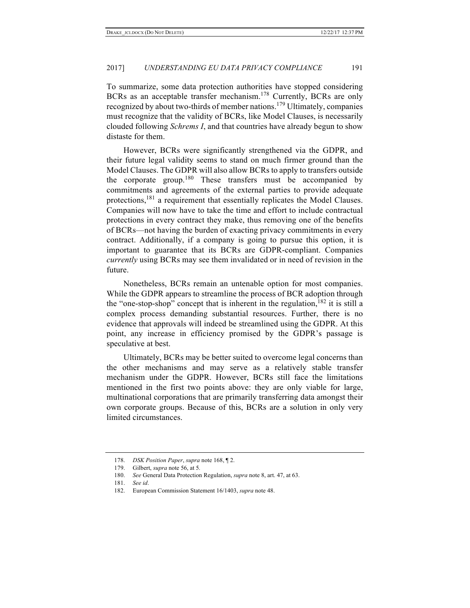To summarize, some data protection authorities have stopped considering BCRs as an acceptable transfer mechanism.<sup>178</sup> Currently, BCRs are only recognized by about two-thirds of member nations.<sup>179</sup> Ultimately, companies must recognize that the validity of BCRs, like Model Clauses, is necessarily clouded following *Schrems I*, and that countries have already begun to show distaste for them.

However, BCRs were significantly strengthened via the GDPR, and their future legal validity seems to stand on much firmer ground than the Model Clauses. The GDPR will also allow BCRs to apply to transfers outside the corporate group.<sup>180</sup> These transfers must be accompanied by commitments and agreements of the external parties to provide adequate protections,<sup>181</sup> a requirement that essentially replicates the Model Clauses. Companies will now have to take the time and effort to include contractual protections in every contract they make, thus removing one of the benefits of BCRs—not having the burden of exacting privacy commitments in every contract. Additionally, if a company is going to pursue this option, it is important to guarantee that its BCRs are GDPR-compliant. Companies *currently* using BCRs may see them invalidated or in need of revision in the future.

Nonetheless, BCRs remain an untenable option for most companies. While the GDPR appears to streamline the process of BCR adoption through the "one-stop-shop" concept that is inherent in the regulation, <sup>182</sup> it is still a complex process demanding substantial resources. Further, there is no evidence that approvals will indeed be streamlined using the GDPR. At this point, any increase in efficiency promised by the GDPR's passage is speculative at best.

Ultimately, BCRs may be better suited to overcome legal concerns than the other mechanisms and may serve as a relatively stable transfer mechanism under the GDPR. However, BCRs still face the limitations mentioned in the first two points above: they are only viable for large, multinational corporations that are primarily transferring data amongst their own corporate groups. Because of this, BCRs are a solution in only very limited circumstances.

<sup>178.</sup> *DSK Position Paper*, *supra* note 168, ¶ 2.

<sup>179.</sup> Gilbert, *supra* note 56, at 5*.*

<sup>180.</sup> *See* General Data Protection Regulation, *supra* note 8, art. 47, at 63.

<sup>181.</sup> *See id*.

<sup>182.</sup> European Commission Statement 16/1403, *supra* note 48.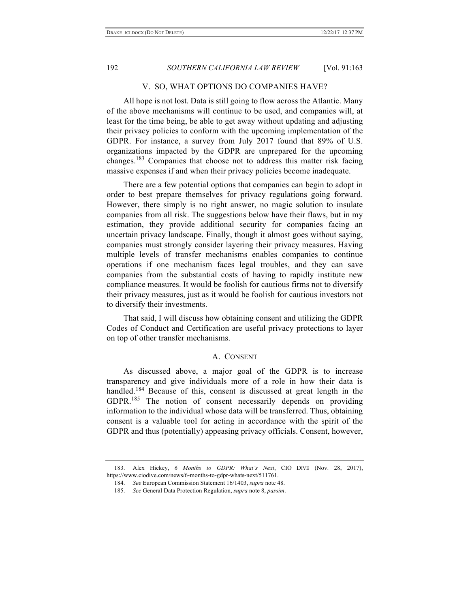#### V. SO, WHAT OPTIONS DO COMPANIES HAVE?

All hope is not lost. Data is still going to flow across the Atlantic. Many of the above mechanisms will continue to be used, and companies will, at least for the time being, be able to get away without updating and adjusting their privacy policies to conform with the upcoming implementation of the GDPR. For instance, a survey from July 2017 found that 89% of U.S. organizations impacted by the GDPR are unprepared for the upcoming changes.<sup>183</sup> Companies that choose not to address this matter risk facing massive expenses if and when their privacy policies become inadequate.

There are a few potential options that companies can begin to adopt in order to best prepare themselves for privacy regulations going forward. However, there simply is no right answer, no magic solution to insulate companies from all risk. The suggestions below have their flaws, but in my estimation, they provide additional security for companies facing an uncertain privacy landscape. Finally, though it almost goes without saying, companies must strongly consider layering their privacy measures. Having multiple levels of transfer mechanisms enables companies to continue operations if one mechanism faces legal troubles, and they can save companies from the substantial costs of having to rapidly institute new compliance measures. It would be foolish for cautious firms not to diversify their privacy measures, just as it would be foolish for cautious investors not to diversify their investments.

That said, I will discuss how obtaining consent and utilizing the GDPR Codes of Conduct and Certification are useful privacy protections to layer on top of other transfer mechanisms.

#### A. CONSENT

As discussed above, a major goal of the GDPR is to increase transparency and give individuals more of a role in how their data is handled.<sup>184</sup> Because of this, consent is discussed at great length in the GDPR.<sup>185</sup> The notion of consent necessarily depends on providing information to the individual whose data will be transferred. Thus, obtaining consent is a valuable tool for acting in accordance with the spirit of the GDPR and thus (potentially) appeasing privacy officials. Consent, however,

<sup>183.</sup> Alex Hickey, *6 Months to GDPR: What's Next*, CIO DIVE (Nov. 28, 2017), https://www.ciodive.com/news/6-months-to-gdpr-whats-next/511761.

<sup>184.</sup> *See* European Commission Statement 16/1403, *supra* note 48.

<sup>185.</sup> *See* General Data Protection Regulation, *supra* note 8, *passim*.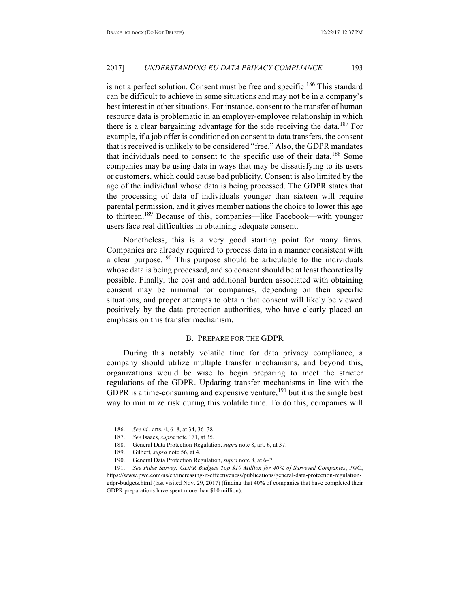is not a perfect solution. Consent must be free and specific.<sup>186</sup> This standard can be difficult to achieve in some situations and may not be in a company's best interest in other situations. For instance, consent to the transfer of human resource data is problematic in an employer-employee relationship in which there is a clear bargaining advantage for the side receiving the data.<sup>187</sup> For example, if a job offer is conditioned on consent to data transfers, the consent that is received is unlikely to be considered "free." Also, the GDPR mandates that individuals need to consent to the specific use of their data.<sup>188</sup> Some companies may be using data in ways that may be dissatisfying to its users or customers, which could cause bad publicity. Consent is also limited by the age of the individual whose data is being processed. The GDPR states that the processing of data of individuals younger than sixteen will require parental permission, and it gives member nations the choice to lower this age to thirteen. <sup>189</sup> Because of this, companies—like Facebook—with younger users face real difficulties in obtaining adequate consent.

Nonetheless, this is a very good starting point for many firms. Companies are already required to process data in a manner consistent with a clear purpose.<sup>190</sup> This purpose should be articulable to the individuals whose data is being processed, and so consent should be at least theoretically possible. Finally, the cost and additional burden associated with obtaining consent may be minimal for companies, depending on their specific situations, and proper attempts to obtain that consent will likely be viewed positively by the data protection authorities, who have clearly placed an emphasis on this transfer mechanism.

### B. PREPARE FOR THE GDPR

During this notably volatile time for data privacy compliance, a company should utilize multiple transfer mechanisms, and beyond this, organizations would be wise to begin preparing to meet the stricter regulations of the GDPR. Updating transfer mechanisms in line with the GDPR is a time-consuming and expensive venture,  $^{191}$  but it is the single best way to minimize risk during this volatile time. To do this, companies will

<sup>186.</sup> *See id.*, arts. 4, 6–8, at 34, 36–38.

<sup>187.</sup> *See* Isaacs, *supra* note 171, at 35.

<sup>188.</sup> General Data Protection Regulation, *supra* note 8, art. 6, at 37.

<sup>189.</sup> Gilbert, *supra* note 56, at 4*.* 

<sup>190.</sup> General Data Protection Regulation, *supra* note 8, at 6–7.

<sup>191.</sup> *See Pulse Survey: GDPR Budgets Top \$10 Million for 40% of Surveyed Companies*, PWC, https://www.pwc.com/us/en/increasing-it-effectiveness/publications/general-data-protection-regulationgdpr-budgets.html (last visited Nov. 29, 2017) (finding that 40% of companies that have completed their

GDPR preparations have spent more than \$10 million).